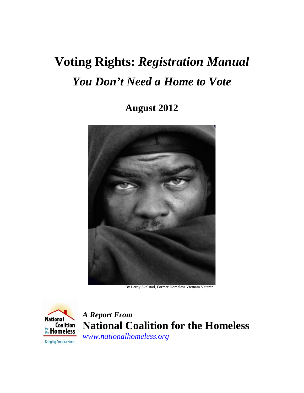# **Voting Rights:** *Registration Manual You Don't Need a Home to Vote*

**August 2012** 



By Leroy Skalstad, Former Homeless Vietnam Veteran



**A Report From Coalition National Coalition for the Homeless** *[www.nationalhomeless.org](http://www.nationalhomeless.org/)*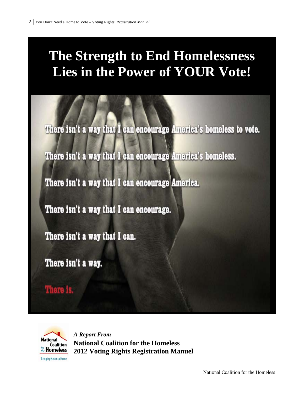# **The Strength to End Homelessness Lies in the Power of YOUR Vote!**

There isn't a way that I can encourage America's homeless to vote.

There isn't a way that I can encourage America's homeless.

There isn't a way that I can encourage America.

There isn't a way that I can encourage.

There isn't a way that I can.

There isn't a way.

There is.



*A Report From*  **National Coalition for the Homeless 2012 Voting Rights Registration Manuel** 

National Coalition for the Homeless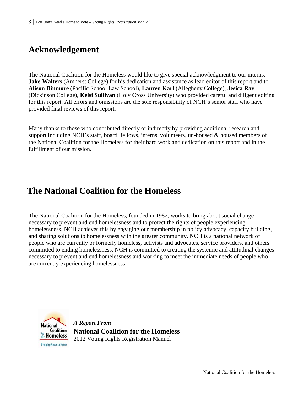## **Acknowledgement**

The National Coalition for the Homeless would like to give special acknowledgment to our interns: **Jake Walters** (Amherst College) for his dedication and assistance as lead editor of this report and to **Alison Dinmore** (Pacific School Law School), **Lauren Karl** (Allegheny College), **Jesica Ray** (Dickinson College), **Kelsi Sullivan** (Holy Cross University) who provided careful and diligent editing for this report. All errors and omissions are the sole responsibility of NCH's senior staff who have provided final reviews of this report.

Many thanks to those who contributed directly or indirectly by providing additional research and support including NCH's staff, board, fellows, interns, volunteers, un-housed & housed members of the National Coalition for the Homeless for their hard work and dedication on this report and in the fulfillment of our mission.

### **The National Coalition for the Homeless**

The National Coalition for the Homeless, founded in 1982, works to bring about social change necessary to prevent and end homelessness and to protect the rights of people experiencing homelessness. NCH achieves this by engaging our membership in policy advocacy, capacity building, and sharing solutions to homelessness with the greater community. NCH is a national network of people who are currently or formerly homeless, activists and advocates, service providers, and others committed to ending homelessness. NCH is committed to creating the systemic and attitudinal changes necessary to prevent and end homelessness and working to meet the immediate needs of people who are currently experiencing homelessness.



*A Report From*  **National Coalition for the Homeless**  2012 Voting Rights Registration Manuel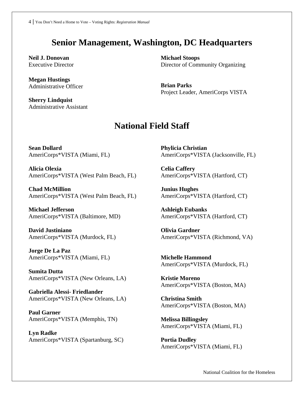## **Senior Management, Washington, DC Headquarters**

**Neil J. Donovan**  Executive Director

**Megan Hustings**  Administrative Officer

**Sherry Lindquist**  Administrative Assistant **Michael Stoops**  Director of Community Organizing

**Brian Parks**  Project Leader, AmeriCorps VISTA

### **National Field Staff**

**Sean Dollard** AmeriCorps\*VISTA (Miami, FL)

**Alicia Olexia**  AmeriCorps\*VISTA (West Palm Beach, FL)

**Chad McMillion** AmeriCorps\*VISTA (West Palm Beach, FL)

**Michael Jefferson** AmeriCorps\*VISTA (Baltimore, MD)

**David Justiniano**  AmeriCorps\*VISTA (Murdock, FL)

**Jorge De La Paz** AmeriCorps\*VISTA (Miami, FL)

**Sumita Dutta** AmeriCorps\*VISTA (New Orleans, LA)

**Gabriella Alessi- Friedlander** AmeriCorps\*VISTA (New Orleans, LA)

**Paul Garner**  AmeriCorps\*VISTA (Memphis, TN)

**Lyn Radke**  AmeriCorps\*VISTA (Spartanburg, SC) **Phylicia Christian** AmeriCorps\*VISTA (Jacksonville, FL)

**Celia Caffery** AmeriCorps\*VISTA (Hartford, CT)

**Junius Hughes** AmeriCorps\*VISTA (Hartford, CT)

**Ashleigh Eubanks**  AmeriCorps\*VISTA (Hartford, CT)

**Olivia Gardner** AmeriCorps\*VISTA (Richmond, VA)

**Michelle Hammond** AmeriCorps\*VISTA (Murdock, FL)

**Kristie Moreno** AmeriCorps\*VISTA (Boston, MA)

**Christina Smith** AmeriCorps\*VISTA (Boston, MA)

**Melissa Billingsley** AmeriCorps\*VISTA (Miami, FL)

**Portia Dudley** AmeriCorps\*VISTA (Miami, FL)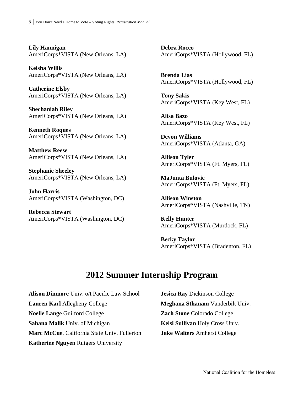**Lily Hannigan** AmeriCorps\*VISTA (New Orleans, LA)

**Keisha Willis** AmeriCorps\*VISTA (New Orleans, LA)

**Catherine Elsby** AmeriCorps\*VISTA (New Orleans, LA)

**Shechaniah Riley** AmeriCorps\*VISTA (New Orleans, LA)

**Kenneth Roques** AmeriCorps\*VISTA (New Orleans, LA)

**Matthew Reese** AmeriCorps\*VISTA (New Orleans, LA)

**Stephanie Sheeley** AmeriCorps\*VISTA (New Orleans, LA)

**John Harris** AmeriCorps\*VISTA (Washington, DC)

**Rebecca Stewart** AmeriCorps\*VISTA (Washington, DC) **Debra Rocco** AmeriCorps\*VISTA (Hollywood, FL)

**Brenda Lias** AmeriCorps\*VISTA (Hollywood, FL)

**Tony Sakis** AmeriCorps\*VISTA (Key West, FL)

**Alisa Bazo** AmeriCorps\*VISTA (Key West, FL)

**Devon Williams** AmeriCorps\*VISTA (Atlanta, GA)

**Allison Tyler** AmeriCorps\*VISTA (Ft. Myers, FL)

**MaJunta Bulovic** AmeriCorps\*VISTA (Ft. Myers, FL)

**Allison Winston** AmeriCorps\*VISTA (Nashville, TN)

**Kelly Hunter**  AmeriCorps\*VISTA (Murdock, FL)

**Becky Taylor** AmeriCorps\*VISTA (Bradenton, FL)

### **2012 Summer Internship Program**

**Alison Dinmore** Univ. o/t Pacific Law School **Lauren Karl** Allegheny College **Noelle Lang**e Guilford College **Sahana Malik** Univ. of Michigan **Marc McCue**, California State Univ. Fullerton **Katherine Nguyen** Rutgers University

**Jesica Ray** Dickinson College **Meghana Sthanam** Vanderbilt Univ. **Zach Stone** Colorado College **Kelsi Sullivan** Holy Cross Univ. **Jake Walters** Amherst College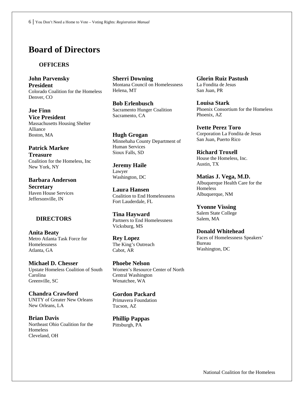### **Board of Directors**

#### **OFFICERS**

**John Parvensky President**  Colorado Coalition for the Homeless Denver, CO

**Joe Finn Vice President**  Massachusetts Housing Shelter Alliance Boston, MA

**Patrick Markee Treasure**  Coalition for the Homeless, Inc New York, NY

**Barbara Anderson Secretary**  Haven House Services Jeffersonville, IN

#### **DIRECTORS**

**Anita Beaty**  Metro Atlanta Task Force for **Homelessness** Atlanta, GA

**Michael D. Chesser**  Upstate Homeless Coalition of South Carolina Greenville, SC

**Chandra Crawford**  UNITY of Greater New Orleans New Orleans, LA

**Brian Davis**  Northeast Ohio Coalition for the Homeless Cleveland, OH

**Sherri Downing**  Montana Council on Homelessness Helena, MT

**Bob Erlenbusch**  Sacramento Hunger Coalition Sacramento, CA

**Hugh Grogan**  Minnehaha County Department of Human Services Sioux Falls, SD

**Jeremy Haile**  Lawyer Washington, DC

**Laura Hansen**  Coalition to End Homelessness Fort Lauderdale, FL

**Tina Hayward**  Partners to End Homelessness Vicksburg, MS

**Rey Lopez**  The King's Outreach Cabot, AR

**Phoebe Nelson**  Women's Resource Center of North Central Washington Wenatchee, WA

**Gordon Packard**  Primavera Foundation Tucson, AZ

**Phillip Pappas**  Pittsburgh, PA

**Glorin Ruiz Pastush**  La Fondita de Jesus San Juan, PR

**Louisa Stark**  Phoenix Consortium for the Homeless Phoenix, AZ

**Ivette Perez Toro**  Corporation La Fondita de Jesus San Juan, Puerto Rico

**Richard Troxell**  House the Homeless, Inc. Austin, TX

**Matias J. Vega, M.D.**  Albuquerque Health Care for the **Homeless** Albuquerque, NM

**Yvonne Vissing**  Salem State College Salem, MA

**Donald Whitehead**  Faces of Homelessness Speakers' Bureau Washington, DC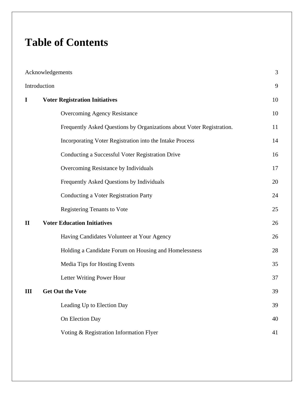# **Table of Contents**

| Acknowledgements |                                                                       |    |  |
|------------------|-----------------------------------------------------------------------|----|--|
| Introduction     |                                                                       |    |  |
| $\bf{I}$         | <b>Voter Registration Initiatives</b>                                 |    |  |
|                  | Overcoming Agency Resistance                                          | 10 |  |
|                  | Frequently Asked Questions by Organizations about Voter Registration. | 11 |  |
|                  | Incorporating Voter Registration into the Intake Process              | 14 |  |
|                  | Conducting a Successful Voter Registration Drive                      | 16 |  |
|                  | Overcoming Resistance by Individuals                                  | 17 |  |
|                  | Frequently Asked Questions by Individuals                             | 20 |  |
|                  | <b>Conducting a Voter Registration Party</b>                          | 24 |  |
|                  | <b>Registering Tenants to Vote</b>                                    | 25 |  |
| $\mathbf{I}$     | <b>Voter Education Initiatives</b>                                    | 26 |  |
|                  | Having Candidates Volunteer at Your Agency                            | 26 |  |
|                  | Holding a Candidate Forum on Housing and Homelessness                 | 28 |  |
|                  | Media Tips for Hosting Events                                         | 35 |  |
|                  | Letter Writing Power Hour                                             | 37 |  |
| Ш                | <b>Get Out the Vote</b>                                               |    |  |
|                  | Leading Up to Election Day                                            | 39 |  |
|                  | On Election Day                                                       | 40 |  |
|                  | Voting & Registration Information Flyer                               | 41 |  |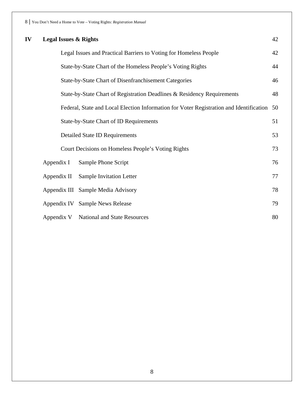| IV | <b>Legal Issues &amp; Rights</b>                      |                                                                                         |    |
|----|-------------------------------------------------------|-----------------------------------------------------------------------------------------|----|
|    |                                                       | Legal Issues and Practical Barriers to Voting for Homeless People                       | 42 |
|    |                                                       | State-by-State Chart of the Homeless People's Voting Rights                             | 44 |
|    | State-by-State Chart of Disenfranchisement Categories |                                                                                         |    |
|    |                                                       | State-by-State Chart of Registration Deadlines & Residency Requirements                 | 48 |
|    |                                                       | Federal, State and Local Election Information for Voter Registration and Identification | 50 |
|    |                                                       | State-by-State Chart of ID Requirements                                                 | 51 |
|    |                                                       | <b>Detailed State ID Requirements</b>                                                   | 53 |
|    | Court Decisions on Homeless People's Voting Rights    |                                                                                         |    |
|    | Appendix I                                            | Sample Phone Script                                                                     | 76 |
|    | Appendix II                                           | <b>Sample Invitation Letter</b>                                                         | 77 |
|    |                                                       | Appendix III Sample Media Advisory                                                      | 78 |
|    |                                                       | Appendix IV Sample News Release                                                         | 79 |
|    | Appendix V                                            | National and State Resources                                                            | 80 |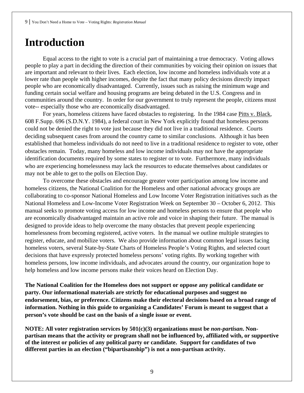# **Introduction**

Equal access to the right to vote is a crucial part of maintaining a true democracy. Voting allows people to play a part in deciding the direction of their communities by voicing their opinion on issues that are important and relevant to their lives. Each election, low income and homeless individuals vote at a lower rate than people with higher incomes, despite the fact that many policy decisions directly impact people who are economically disadvantaged. Currently, issues such as raising the minimum wage and funding certain social welfare and housing programs are being debated in the U.S. Congress and in communities around the country. In order for our government to truly represent the people, citizens must vote-- especially those who are economically disadvantaged.

For years, homeless citizens have faced obstacles to registering. In the 1984 case Pitts v. Black, 608 F.Supp. 696 (S.D.N.Y. 1984), a federal court in New York explicitly found that homeless persons could not be denied the right to vote just because they did not live in a traditional residence. Courts deciding subsequent cases from around the country came to similar conclusions. Although it has been established that homeless individuals do not need to live in a traditional residence to register to vote, other obstacles remain. Today, many homeless and low income individuals may not have the appropriate identification documents required by some states to register or to vote. Furthermore, many individuals who are experiencing homelessness may lack the resources to educate themselves about candidates or may not be able to get to the polls on Election Day.

 To overcome these obstacles and encourage greater voter participation among low income and homeless citizens, the National Coalition for the Homeless and other national advocacy groups are collaborating to co-sponsor National Homeless and Low Income Voter Registration initiatives such as the National Homeless and Low-Income Voter Registration Week on September 30 – October 6, 2012. This manual seeks to promote voting access for low income and homeless persons to ensure that people who are economically disadvantaged maintain an active role and voice in shaping their future. The manual is designed to provide ideas to help overcome the many obstacles that prevent people experiencing homelessness from becoming registered, active voters. In the manual we outline multiple strategies to register, educate, and mobilize voters. We also provide information about common legal issues facing homeless voters, several State-by-State Charts of Homeless People's Voting Rights, and selected court decisions that have expressly protected homeless persons' voting rights. By working together with homeless persons, low income individuals, and advocates around the country, our organization hope to help homeless and low income persons make their voices heard on Election Day.

**The National Coalition for the Homeless does not support or oppose any political candidate or party. Our informational materials are strictly for educational purposes and suggest no endorsement, bias, or preference. Citizens make their electoral decisions based on a broad range of information. Nothing in this guide to organizing a Candidates' Forum is meant to suggest that a person's vote should be cast on the basis of a single issue or event.** 

**NOTE: All voter registration services by 501(c)(3) organizations must be** *non-partisan***. Nonpartisan means that the activity or program shall not be influenced by, affiliated with, or supportive of the interest or policies of any political party or candidate. Support for candidates of two different parties in an election ("bipartisanship") is not a non-partisan activity.**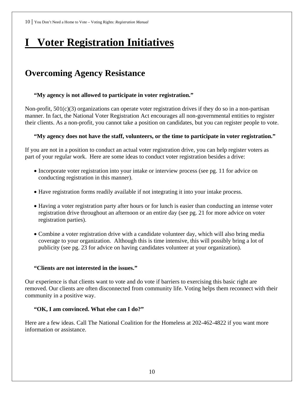# **I Voter Registration Initiatives**

# **Overcoming Agency Resistance**

#### **"My agency is not allowed to participate in voter registration."**

Non-profit, 501(c)(3) organizations can operate voter registration drives if they do so in a non-partisan manner. In fact, the National Voter Registration Act encourages all non-governmental entities to register their clients. As a non-profit, you cannot take a position on candidates, but you can register people to vote.

#### **"My agency does not have the staff, volunteers, or the time to participate in voter registration."**

If you are not in a position to conduct an actual voter registration drive, you can help register voters as part of your regular work. Here are some ideas to conduct voter registration besides a drive:

- Incorporate voter registration into your intake or interview process (see pg. 11 for advice on conducting registration in this manner).
- Have registration forms readily available if not integrating it into your intake process.
- Having a voter registration party after hours or for lunch is easier than conducting an intense voter registration drive throughout an afternoon or an entire day (see pg. 21 for more advice on voter registration parties).
- Combine a voter registration drive with a candidate volunteer day, which will also bring media coverage to your organization. Although this is time intensive, this will possibly bring a lot of publicity (see pg. 23 for advice on having candidates volunteer at your organization).

#### **"Clients are not interested in the issues."**

Our experience is that clients want to vote and do vote if barriers to exercising this basic right are removed. Our clients are often disconnected from community life. Voting helps them reconnect with their community in a positive way.

#### **"OK, I am convinced. What else can I do?"**

Here are a few ideas. Call The National Coalition for the Homeless at 202-462-4822 if you want more information or assistance.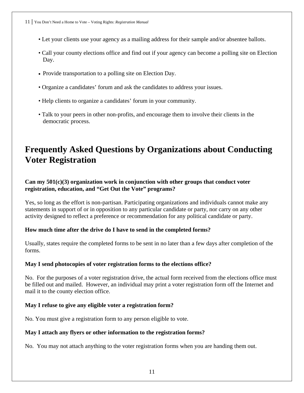- Let your clients use your agency as a mailing address for their sample and/or absentee ballots.
- Call your county elections office and find out if your agency can become a polling site on Election Day.
- Provide transportation to a polling site on Election Day.
- Organize a candidates' forum and ask the candidates to address your issues.
- Help clients to organize a candidates' forum in your community.
- Talk to your peers in other non-profits, and encourage them to involve their clients in the democratic process.

## **Frequently Asked Questions by Organizations about Conducting Voter Registration**

#### **Can my 501(c)(3) organization work in conjunction with other groups that conduct voter registration, education, and "Get Out the Vote" programs?**

Yes, so long as the effort is non-partisan. Participating organizations and individuals cannot make any statements in support of or in opposition to any particular candidate or party, nor carry on any other activity designed to reflect a preference or recommendation for any political candidate or party.

#### **How much time after the drive do I have to send in the completed forms?**

Usually, states require the completed forms to be sent in no later than a few days after completion of the forms.

#### **May I send photocopies of voter registration forms to the elections office?**

No. For the purposes of a voter registration drive, the actual form received from the elections office must be filled out and mailed. However, an individual may print a voter registration form off the Internet and mail it to the county election office.

#### **May I refuse to give any eligible voter a registration form?**

No. You must give a registration form to any person eligible to vote.

#### **May I attach any flyers or other information to the registration forms?**

No. You may not attach anything to the voter registration forms when you are handing them out.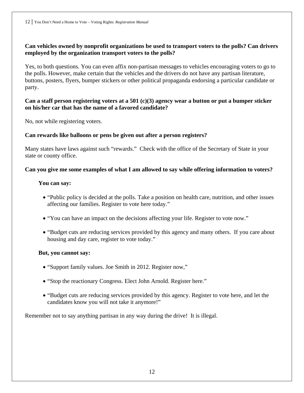#### **Can vehicles owned by nonprofit organizations be used to transport voters to the polls? Can drivers employed by the organization transport voters to the polls?**

Yes, to both questions. You can even affix non-partisan messages to vehicles encouraging voters to go to the polls. However, make certain that the vehicles and the drivers do not have any partisan literature, buttons, posters, flyers, bumper stickers or other political propaganda endorsing a particular candidate or party.

#### **Can a staff person registering voters at a 501 (c)(3) agency wear a button or put a bumper sticker on his/her car that has the name of a favored candidate?**

No, not while registering voters.

#### **Can rewards like balloons or pens be given out after a person registers?**

Many states have laws against such "rewards." Check with the office of the Secretary of State in your state or county office.

#### **Can you give me some examples of what I am allowed to say while offering information to voters?**

#### **You can say:**

- "Public policy is decided at the polls. Take a position on health care, nutrition, and other issues affecting our families. Register to vote here today."
- "You can have an impact on the decisions affecting your life. Register to vote now."
- "Budget cuts are reducing services provided by this agency and many others. If you care about housing and day care, register to vote today."

#### **But, you cannot say:**

- "Support family values. Joe Smith in 2012. Register now,"
- "Stop the reactionary Congress. Elect John Arnold. Register here."
- "Budget cuts are reducing services provided by this agency. Register to vote here, and let the candidates know you will not take it anymore!"

Remember not to say anything partisan in any way during the drive! It is illegal.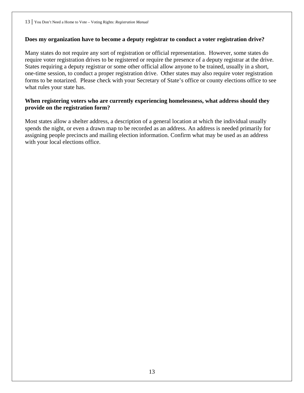#### **Does my organization have to become a deputy registrar to conduct a voter registration drive?**

Many states do not require any sort of registration or official representation. However, some states do require voter registration drives to be registered or require the presence of a deputy registrar at the drive. States requiring a deputy registrar or some other official allow anyone to be trained, usually in a short, one-time session, to conduct a proper registration drive. Other states may also require voter registration forms to be notarized. Please check with your Secretary of State's office or county elections office to see what rules your state has.

#### **When registering voters who are currently experiencing homelessness, what address should they provide on the registration form?**

Most states allow a shelter address, a description of a general location at which the individual usually spends the night, or even a drawn map to be recorded as an address. An address is needed primarily for assigning people precincts and mailing election information. Confirm what may be used as an address with your local elections office.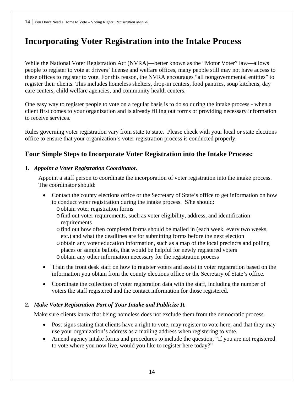# **Incorporating Voter Registration into the Intake Process**

While the National Voter Registration Act (NVRA)—better known as the "Motor Voter" law—allows people to register to vote at drivers' license and welfare offices, many people still may not have access to these offices to register to vote. For this reason, the NVRA encourages "all nongovernmental entities" to register their clients. This includes homeless shelters, drop-in centers, food pantries, soup kitchens, day care centers, child welfare agencies, and community health centers.

One easy way to register people to vote on a regular basis is to do so during the intake process - when a client first comes to your organization and is already filling out forms or providing necessary information to receive services.

Rules governing voter registration vary from state to state. Please check with your local or state elections office to ensure that your organization's voter registration process is conducted properly.

### **Four Simple Steps to Incorporate Voter Registration into the Intake Process:**

#### **1.** *Appoint a Voter Registration Coordinator.*

Appoint a staff person to coordinate the incorporation of voter registration into the intake process. The coordinator should:

- Contact the county elections office or the Secretary of State's office to get information on how to conduct voter registration during the intake process. S/he should: oobtain voter registration forms
	- ofind out voter requirements, such as voter eligibility, address, and identification requirements
	- ofind out how often completed forms should be mailed in (each week, every two weeks, etc.) and what the deadlines are for submitting forms before the next election
	- oobtain any voter education information, such as a map of the local precincts and polling places or sample ballots, that would be helpful for newly registered voters o obtain any other information necessary for the registration process
- Train the front desk staff on how to register voters and assist in voter registration based on the information you obtain from the county elections office or the Secretary of State's office.
- Coordinate the collection of voter registration data with the staff, including the number of voters the staff registered and the contact information for those registered.

#### **2.** *Make Voter Registration Part of Your Intake and Publicize It.*

Make sure clients know that being homeless does not exclude them from the democratic process.

- Post signs stating that clients have a right to vote, may register to vote here, and that they may use your organization's address as a mailing address when registering to vote.
- Amend agency intake forms and procedures to include the question, "If you are not registered to vote where you now live, would you like to register here today?"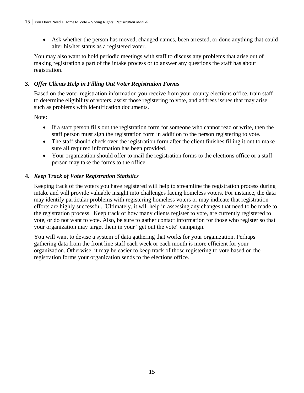• Ask whether the person has moved, changed names, been arrested, or done anything that could alter his/her status as a registered voter.

You may also want to hold periodic meetings with staff to discuss any problems that arise out of making registration a part of the intake process or to answer any questions the staff has about registration.

#### **3.** *Offer Clients Help in Filling Out Voter Registration Forms*

Based on the voter registration information you receive from your county elections office, train staff to determine eligibility of voters, assist those registering to vote, and address issues that may arise such as problems with identification documents.

Note:

- If a staff person fills out the registration form for someone who cannot read or write, then the staff person must sign the registration form in addition to the person registering to vote.
- The staff should check over the registration form after the client finishes filling it out to make sure all required information has been provided.
- Your organization should offer to mail the registration forms to the elections office or a staff person may take the forms to the office.

#### **4.** *Keep Track of Voter Registration Statistics*

Keeping track of the voters you have registered will help to streamline the registration process during intake and will provide valuable insight into challenges facing homeless voters. For instance, the data may identify particular problems with registering homeless voters or may indicate that registration efforts are highly successful. Ultimately, it will help in assessing any changes that need to be made to the registration process. Keep track of how many clients register to vote, are currently registered to vote, or do not want to vote. Also, be sure to gather contact information for those who register so that your organization may target them in your "get out the vote" campaign.

You will want to devise a system of data gathering that works for your organization. Perhaps gathering data from the front line staff each week or each month is more efficient for your organization. Otherwise, it may be easier to keep track of those registering to vote based on the registration forms your organization sends to the elections office.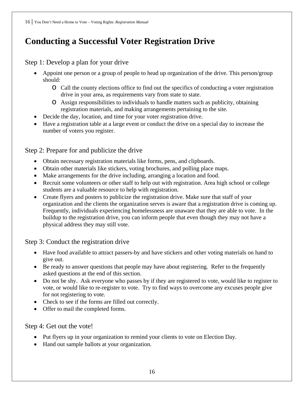# **Conducting a Successful Voter Registration Drive**

### Step 1: Develop a plan for your drive

- Appoint one person or a group of people to head up organization of the drive. This person/group should:
	- o Call the county elections office to find out the specifics of conducting a voter registration drive in your area, as requirements vary from state to state.
	- o Assign responsibilities to individuals to handle matters such as publicity, obtaining registration materials, and making arrangements pertaining to the site.
- Decide the day, location, and time for your voter registration drive.
- Have a registration table at a large event or conduct the drive on a special day to increase the number of voters you register.

#### Step 2: Prepare for and publicize the drive

- Obtain necessary registration materials like forms, pens, and clipboards.
- Obtain other materials like stickers, voting brochures, and polling place maps.
- Make arrangements for the drive including, arranging a location and food.
- Recruit some volunteers or other staff to help out with registration. Area high school or college students are a valuable resource to help with registration.
- Create flyers and posters to publicize the registration drive. Make sure that staff of your organization and the clients the organization serves is aware that a registration drive is coming up. Frequently, individuals experiencing homelessness are unaware that they are able to vote. In the buildup to the registration drive, you can inform people that even though they may not have a physical address they may still vote.

#### Step 3: Conduct the registration drive

- Have food available to attract passers-by and have stickers and other voting materials on hand to give out.
- Be ready to answer questions that people may have about registering. Refer to the frequently asked questions at the end of this section.
- Do not be shy. Ask everyone who passes by if they are registered to vote, would like to register to vote, or would like to re-register to vote. Try to find ways to overcome any excuses people give for not registering to vote.
- Check to see if the forms are filled out correctly.
- Offer to mail the completed forms.

#### Step 4: Get out the vote!

- Put flyers up in your organization to remind your clients to vote on Election Day.
- Hand out sample ballots at your organization.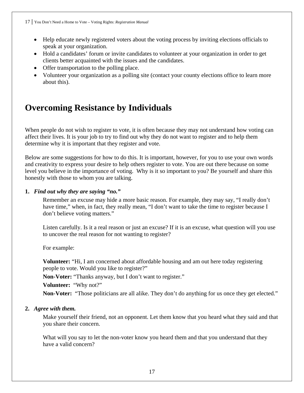- Help educate newly registered voters about the voting process by inviting elections officials to speak at your organization.
- Hold a candidates' forum or invite candidates to volunteer at your organization in order to get clients better acquainted with the issues and the candidates.
- Offer transportation to the polling place.
- Volunteer your organization as a polling site (contact your county elections office to learn more about this).

# **Overcoming Resistance by Individuals**

When people do not wish to register to vote, it is often because they may not understand how voting can affect their lives. It is your job to try to find out why they do not want to register and to help them determine why it is important that they register and vote.

Below are some suggestions for how to do this. It is important, however, for you to use your own words and creativity to express your desire to help others register to vote. You are out there because on some level you believe in the importance of voting. Why is it so important to you? Be yourself and share this honestly with those to whom you are talking.

#### **1.** *Find out why they are saying "no."*

Remember an excuse may hide a more basic reason. For example, they may say, "I really don't have time," when, in fact, they really mean, "I don't want to take the time to register because I don't believe voting matters."

Listen carefully. Is it a real reason or just an excuse? If it is an excuse, what question will you use to uncover the real reason for not wanting to register?

For example:

**Volunteer:** "Hi, I am concerned about affordable housing and am out here today registering people to vote. Would you like to register?"

**Non-Voter:** "Thanks anyway, but I don't want to register."

**Volunteer:** "Why not?"

**Non-Voter:** "Those politicians are all alike. They don't do anything for us once they get elected."

#### **2.** *Agree with them.*

Make yourself their friend, not an opponent. Let them know that you heard what they said and that you share their concern.

What will you say to let the non-voter know you heard them and that you understand that they have a valid concern?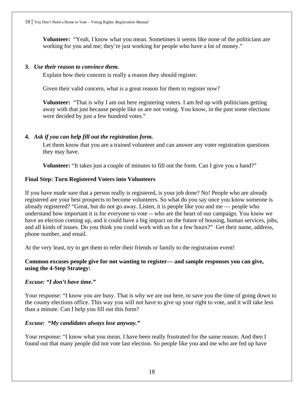**Volunteer:** "Yeah, I know what you mean. Sometimes it seems like none of the politicians are working for you and me; they're just working for people who have a lot of money."

#### **3.** *Use their reason to convince them.*

Explain how their concern is really a reason they should register.

Given their valid concern, what is a great reason for them to register now?

**Volunteer:** "That is why I am out here registering voters. I am fed up with politicians getting away with that just because people like us are not voting. You know, in the past some elections were decided by just a few hundred votes."

#### **4.** *Ask if you can help fill out the registration form.*

Let them know that you are a trained volunteer and can answer any voter registration questions they may have.

**Volunteer:** "It takes just a couple of minutes to fill out the form. Can I give you a hand?"

#### **Final Step: Turn Registered Voters into Volunteers**

If you have made sure that a person really is registered, is your job done? No! People who are already registered are your best prospects to become volunteers. So what do you say once you know someone is already registered? "Great, but do not go away. Listen, it is people like you and me — people who understand how important it is for everyone to vote -- who are the heart of our campaign. You know we have an election coming up, and it could have a big impact on the future of housing, human services, jobs, and all kinds of issues. Do you think you could work with us for a few hours?" Get their name, address, phone number, and email.

At the very least, try to get them to refer their friends or family to the registration event!

#### **Common excuses people give for not wanting to register— and sample responses you can give, using the 4-Step Strategy:**

#### *Excuse: "I don't have time."*

Your response: "I know you are busy. That is why we are out here, to save you the time of going down to the county elections office. This way you will not have to give up your right to vote, and it will take less than a minute. Can I help you fill out this form?

#### *Excuse: "My candidates always lose anyway."*

Your response: "I know what you mean. I have been really frustrated for the same reason. And then I found out that many people did not vote last election. So people like you and me who are fed up have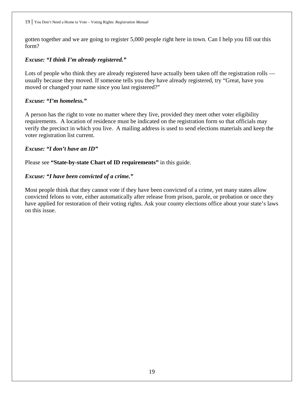gotten together and we are going to register 5,000 people right here in town. Can I help you fill out this form?

#### *Excuse: "I think I'm already registered."*

Lots of people who think they are already registered have actually been taken off the registration rolls usually because they moved. If someone tells you they have already registered, try "Great, have you moved or changed your name since you last registered?"

#### *Excuse: "I'm homeless."*

A person has the right to vote no matter where they live, provided they meet other voter eligibility requirements. A location of residence must be indicated on the registration form so that officials may verify the precinct in which you live. A mailing address is used to send elections materials and keep the voter registration list current.

#### *Excuse: "I don't have an ID"*

Please see **"State-by-state Chart of ID requirements"** in this guide.

#### *Excuse: "I have been convicted of a crime."*

Most people think that they cannot vote if they have been convicted of a crime, yet many states allow convicted felons to vote, either automatically after release from prison, parole, or probation or once they have applied for restoration of their voting rights. Ask your county elections office about your state's laws on this issue.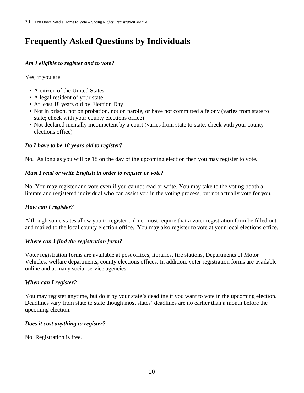# **Frequently Asked Questions by Individuals**

#### *Am I eligible to register and to vote?*

Yes, if you are:

- A citizen of the United States
- A legal resident of your state
- At least 18 years old by Election Day
- Not in prison, not on probation, not on parole, or have not committed a felony (varies from state to state; check with your county elections office)
- Not declared mentally incompetent by a court (varies from state to state, check with your county elections office)

#### *Do I have to be 18 years old to register?*

No. As long as you will be 18 on the day of the upcoming election then you may register to vote.

#### *Must I read or write English in order to register or vote?*

No. You may register and vote even if you cannot read or write. You may take to the voting booth a literate and registered individual who can assist you in the voting process, but not actually vote for you.

#### *How can I register?*

Although some states allow you to register online, most require that a voter registration form be filled out and mailed to the local county election office. You may also register to vote at your local elections office.

#### *Where can I find the registration form?*

Voter registration forms are available at post offices, libraries, fire stations, Departments of Motor Vehicles, welfare departments, county elections offices. In addition, voter registration forms are available online and at many social service agencies.

#### *When can I register?*

You may register anytime, but do it by your state's deadline if you want to vote in the upcoming election. Deadlines vary from state to state though most states' deadlines are no earlier than a month before the upcoming election.

#### *Does it cost anything to register?*

No. Registration is free.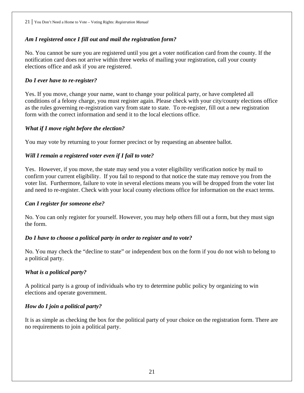#### *Am I registered once I fill out and mail the registration form?*

No. You cannot be sure you are registered until you get a voter notification card from the county. If the notification card does not arrive within three weeks of mailing your registration, call your county elections office and ask if you are registered.

#### *Do I ever have to re-register?*

Yes. If you move, change your name, want to change your political party, or have completed all conditions of a felony charge, you must register again. Please check with your city/county elections office as the rules governing re-registration vary from state to state. To re-register, fill out a new registration form with the correct information and send it to the local elections office.

#### *What if I move right before the election?*

You may vote by returning to your former precinct or by requesting an absentee ballot.

#### *Will I remain a registered voter even if I fail to vote?*

Yes. However, if you move, the state may send you a voter eligibility verification notice by mail to confirm your current eligibility. If you fail to respond to that notice the state may remove you from the voter list. Furthermore, failure to vote in several elections means you will be dropped from the voter list and need to re-register. Check with your local county elections office for information on the exact terms.

#### *Can I register for someone else?*

No. You can only register for yourself. However, you may help others fill out a form, but they must sign the form.

#### *Do I have to choose a political party in order to register and to vote?*

No. You may check the "decline to state" or independent box on the form if you do not wish to belong to a political party.

#### *What is a political party?*

A political party is a group of individuals who try to determine public policy by organizing to win elections and operate government.

#### *How do I join a political party?*

It is as simple as checking the box for the political party of your choice on the registration form. There are no requirements to join a political party.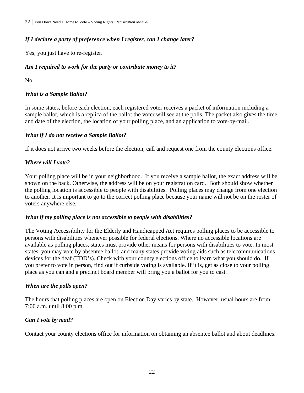#### *If I declare a party of preference when I register, can I change later?*

Yes, you just have to re-register.

#### *Am I required to work for the party or contribute money to it?*

No.

#### *What is a Sample Ballot?*

In some states, before each election, each registered voter receives a packet of information including a sample ballot, which is a replica of the ballot the voter will see at the polls. The packet also gives the time and date of the election, the location of your polling place, and an application to vote-by-mail.

#### *What if I do not receive a Sample Ballot?*

If it does not arrive two weeks before the election, call and request one from the county elections office.

#### *Where will I vote?*

Your polling place will be in your neighborhood. If you receive a sample ballot, the exact address will be shown on the back. Otherwise, the address will be on your registration card. Both should show whether the polling location is accessible to people with disabilities. Polling places may change from one election to another. It is important to go to the correct polling place because your name will not be on the roster of voters anywhere else.

#### *What if my polling place is not accessible to people with disabilities?*

The Voting Accessibility for the Elderly and Handicapped Act requires polling places to be accessible to persons with disabilities whenever possible for federal elections. Where no accessible locations are available as polling places, states must provide other means for persons with disabilities to vote. In most states, you may vote by absentee ballot, and many states provide voting aids such as telecommunications devices for the deaf (TDD's). Check with your county elections office to learn what you should do. If you prefer to vote in person, find out if curbside voting is available. If it is, get as close to your polling place as you can and a precinct board member will bring you a ballot for you to cast.

#### *When are the polls open?*

The hours that polling places are open on Election Day varies by state. However, usual hours are from 7:00 a.m. until 8:00 p.m.

#### *Can I vote by mail?*

Contact your county elections office for information on obtaining an absentee ballot and about deadlines.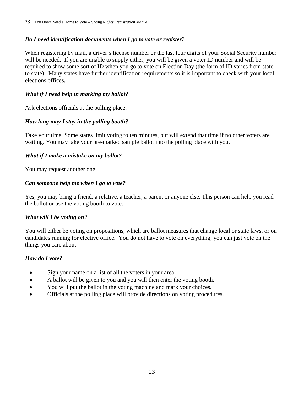#### *Do I need identification documents when I go to vote or register?*

When registering by mail, a driver's license number or the last four digits of your Social Security number will be needed. If you are unable to supply either, you will be given a voter ID number and will be required to show some sort of ID when you go to vote on Election Day (the form of ID varies from state to state). Many states have further identification requirements so it is important to check with your local elections offices.

#### *What if I need help in marking my ballot?*

Ask elections officials at the polling place.

#### *How long may I stay in the polling booth?*

Take your time. Some states limit voting to ten minutes, but will extend that time if no other voters are waiting. You may take your pre-marked sample ballot into the polling place with you.

#### *What if I make a mistake on my ballot?*

You may request another one.

#### *Can someone help me when I go to vote?*

Yes, you may bring a friend, a relative, a teacher, a parent or anyone else. This person can help you read the ballot or use the voting booth to vote.

#### *What will I be voting on?*

You will either be voting on propositions, which are ballot measures that change local or state laws, or on candidates running for elective office. You do not have to vote on everything; you can just vote on the things you care about.

#### *How do I vote?*

- Sign your name on a list of all the voters in your area.
- A ballot will be given to you and you will then enter the voting booth.
- You will put the ballot in the voting machine and mark your choices.
- Officials at the polling place will provide directions on voting procedures.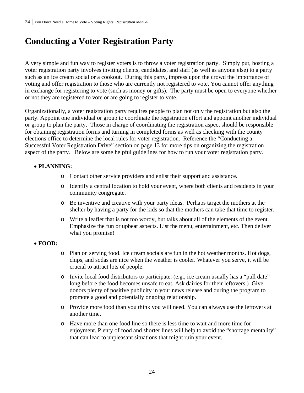# **Conducting a Voter Registration Party**

A very simple and fun way to register voters is to throw a voter registration party. Simply put, hosting a voter registration party involves inviting clients, candidates, and staff (as well as anyone else) to a party such as an ice cream social or a cookout. During this party, impress upon the crowd the importance of voting and offer registration to those who are currently not registered to vote. You cannot offer anything in exchange for registering to vote (such as money or gifts). The party must be open to everyone whether or not they are registered to vote or are going to register to vote.

Organizationally, a voter registration party requires people to plan not only the registration but also the party. Appoint one individual or group to coordinate the registration effort and appoint another individual or group to plan the party. Those in charge of coordinating the registration aspect should be responsible for obtaining registration forms and turning in completed forms as well as checking with the county elections office to determine the local rules for voter registration. Reference the "Conducting a Successful Voter Registration Drive" section on page 13 for more tips on organizing the registration aspect of the party. Below are some helpful guidelines for how to run your voter registration party.

#### • **PLANNING:**

- o Contact other service providers and enlist their support and assistance.
- o Identify a central location to hold your event, where both clients and residents in your community congregate.
- o Be inventive and creative with your party ideas. Perhaps target the mothers at the shelter by having a party for the kids so that the mothers can take that time to register.
- o Write a leaflet that is not too wordy, but talks about all of the elements of the event. Emphasize the fun or upbeat aspects. List the menu, entertainment, etc. Then deliver what you promise!

#### • **FOOD:**

- o Plan on serving food. Ice cream socials are fun in the hot weather months. Hot dogs, chips, and sodas are nice when the weather is cooler. Whatever you serve, it will be crucial to attract lots of people.
- o Invite local food distributors to participate. (e.g., ice cream usually has a "pull date" long before the food becomes unsafe to eat. Ask dairies for their leftovers.) Give donors plenty of positive publicity in your news release and during the program to promote a good and potentially ongoing relationship.
- o Provide more food than you think you will need. You can always use the leftovers at another time.
- o Have more than one food line so there is less time to wait and more time for enjoyment. Plenty of food and shorter lines will help to avoid the "shortage mentality" that can lead to unpleasant situations that might ruin your event.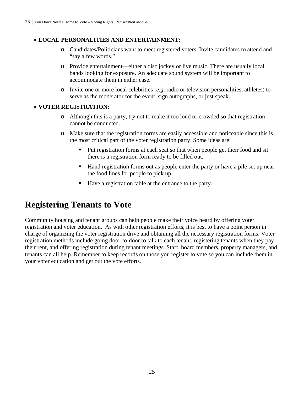#### • **LOCAL PERSONALITIES AND ENTERTAINMENT:**

- o Candidates/Politicians want to meet registered voters. Invite candidates to attend and "say a few words."
- o Provide entertainment—either a disc jockey or live music. There are usually local bands looking for exposure. An adequate sound system will be important to accommodate them in either case.
- o Invite one or more local celebrities (*e.g*. radio or television personalities, athletes) to serve as the moderator for the event, sign autographs, or just speak.

#### • **VOTER REGISTRATION:**

- o Although this is a party, try not to make it too loud or crowded so that registration cannot be conducted.
- o Make sure that the registration forms are easily accessible and noticeable since this is the most critical part of the voter registration party. Some ideas are:
	- Put registration forms at each seat so that when people get their food and sit there is a registration form ready to be filled out.
	- Hand registration forms out as people enter the party or have a pile set up near the food lines for people to pick up.
	- Have a registration table at the entrance to the party.

## **Registering Tenants to Vote**

Community housing and tenant groups can help people make their voice heard by offering voter registration and voter education. As with other registration efforts, it is best to have a point person in charge of organizing the voter registration drive and obtaining all the necessary registration forms. Voter registration methods include going door-to-door to talk to each tenant, registering tenants when they pay their rent, and offering registration during tenant meetings. Staff, board members, property managers, and tenants can all help. Remember to keep records on those you register to vote so you can include them in your voter education and get out the vote efforts.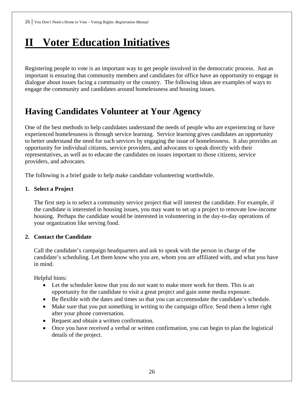# **II Voter Education Initiatives**

Registering people to vote is an important way to get people involved in the democratic process. Just as important is ensuring that community members and candidates for office have an opportunity to engage in dialogue about issues facing a community or the country. The following ideas are examples of ways to engage the community and candidates around homelessness and housing issues.

# **Having Candidates Volunteer at Your Agency**

One of the best methods to help candidates understand the needs of people who are experiencing or have experienced homelessness is through service learning. Service learning gives candidates an opportunity to better understand the need for such services by engaging the issue of homelessness. It also provides an opportunity for individual citizens, service providers, and advocates to speak directly with their representatives, as well as to educate the candidates on issues important to those citizens, service providers, and advocates.

The following is a brief guide to help make candidate volunteering worthwhile.

#### **1. Select a Project**

The first step is to select a community service project that will interest the candidate. For example, if the candidate is interested in housing issues, you may want to set up a project to renovate low-income housing. Perhaps the candidate would be interested in volunteering in the day-to-day operations of your organization like serving food.

#### **2. Contact the Candidate**

Call the candidate's campaign headquarters and ask to speak with the person in charge of the candidate's scheduling. Let them know who you are, whom you are affiliated with, and what you have in mind.

Helpful hints:

- Let the scheduler know that you do not want to make more work for them. This is an opportunity for the candidate to visit a great project and gain some media exposure.
- Be flexible with the dates and times so that you can accommodate the candidate's schedule.
- Make sure that you put something in writing to the campaign office. Send them a letter right after your phone conversation.
- Request and obtain a written confirmation.
- Once you have received a verbal or written confirmation, you can begin to plan the logistical details of the project.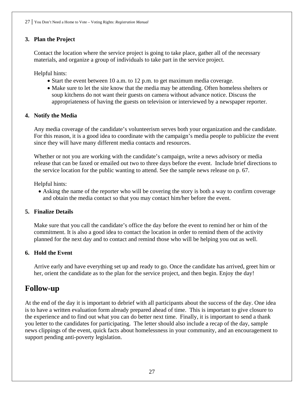#### **3. Plan the Project**

Contact the location where the service project is going to take place, gather all of the necessary materials, and organize a group of individuals to take part in the service project.

Helpful hints:

- Start the event between 10 a.m. to 12 p.m. to get maximum media coverage.
- Make sure to let the site know that the media may be attending. Often homeless shelters or soup kitchens do not want their guests on camera without advance notice. Discuss the appropriateness of having the guests on television or interviewed by a newspaper reporter.

#### **4. Notify the Media**

Any media coverage of the candidate's volunteerism serves both your organization and the candidate. For this reason, it is a good idea to coordinate with the campaign's media people to publicize the event since they will have many different media contacts and resources.

Whether or not you are working with the candidate's campaign, write a news advisory or media release that can be faxed or emailed out two to three days before the event. Include brief directions to the service location for the public wanting to attend. See the sample news release on p. 67.

Helpful hints:

• Asking the name of the reporter who will be covering the story is both a way to confirm coverage and obtain the media contact so that you may contact him/her before the event.

#### **5. Finalize Details**

Make sure that you call the candidate's office the day before the event to remind her or him of the commitment. It is also a good idea to contact the location in order to remind them of the activity planned for the next day and to contact and remind those who will be helping you out as well.

#### **6. Hold the Event**

Arrive early and have everything set up and ready to go. Once the candidate has arrived, greet him or her, orient the candidate as to the plan for the service project, and then begin. Enjoy the day!

### **Follow-up**

At the end of the day it is important to debrief with all participants about the success of the day. One idea is to have a written evaluation form already prepared ahead of time. This is important to give closure to the experience and to find out what you can do better next time. Finally, it is important to send a thank you letter to the candidates for participating. The letter should also include a recap of the day, sample news clippings of the event, quick facts about homelessness in your community, and an encouragement to support pending anti-poverty legislation.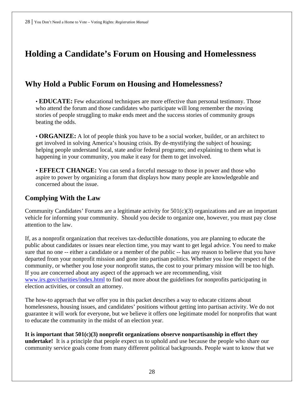# **Holding a Candidate's Forum on Housing and Homelessness**

### **Why Hold a Public Forum on Housing and Homelessness?**

• **EDUCATE:** Few educational techniques are more effective than personal testimony. Those who attend the forum and those candidates who participate will long remember the moving stories of people struggling to make ends meet and the success stories of community groups beating the odds.

• **ORGANIZE:** A lot of people think you have to be a social worker, builder, or an architect to get involved in solving America's housing crisis. By de-mystifying the subject of housing; helping people understand local, state and/or federal programs; and explaining to them what is happening in your community, you make it easy for them to get involved.

• **EFFECT CHANGE:** You can send a forceful message to those in power and those who aspire to power by organizing a forum that displays how many people are knowledgeable and concerned about the issue.

#### **Complying With the Law**

Community Candidates' Forums are a legitimate activity for 501(c)(3) organizations and are an important vehicle for informing your community. Should you decide to organize one, however, you must pay close attention to the law.

If, as a nonprofit organization that receives tax-deductible donations, you are planning to educate the public about candidates or issues near election time, you may want to get legal advice. You need to make sure that no one -- either a candidate or a member of the public -- has any reason to believe that you have departed from your nonprofit mission and gone into partisan politics. Whether you lose the respect of the community, or whether you lose your nonprofit status, the cost to your primary mission will be too high. If you are concerned about any aspect of the approach we are recommending, visit [www.irs.gov/charities/index.html](http://www.npaction.org/) to find out more about the guidelines for nonprofits participating in election activities, or consult an attorney.

The how-to approach that we offer you in this packet describes a way to educate citizens about homelessness, housing issues, and candidates' positions without getting into partisan activity. We do not guarantee it will work for everyone, but we believe it offers one legitimate model for nonprofits that want to educate the community in the midst of an election year.

**It is important that 501(c)(3) nonprofit organizations observe nonpartisanship in effort they undertake!** It is a principle that people expect us to uphold and use because the people who share our community service goals come from many different political backgrounds. People want to know that we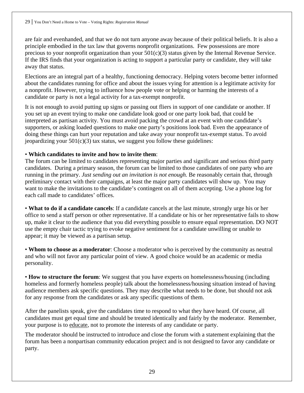are fair and evenhanded, and that we do not turn anyone away because of their political beliefs. It is also a principle embodied in the tax law that governs nonprofit organizations. Few possessions are more precious to your nonprofit organization than your  $501(c)(3)$  status given by the Internal Revenue Service. If the IRS finds that your organization is acting to support a particular party or candidate, they will take away that status.

Elections are an integral part of a healthy, functioning democracy. Helping voters become better informed about the candidates running for office and about the issues vying for attention is a legitimate activity for a nonprofit. However, trying to influence how people vote or helping or harming the interests of a candidate or party is not a legal activity for a tax-exempt nonprofit.

It is not enough to avoid putting up signs or passing out fliers in support of one candidate or another. If you set up an event trying to make one candidate look good or one party look bad, that could be interpreted as partisan activity. You must avoid packing the crowd at an event with one candidate's supporters, or asking loaded questions to make one party's positions look bad. Even the appearance of doing these things can hurt your reputation and take away your nonprofit tax-exempt status. To avoid jeopardizing your  $501(c)(3)$  tax status, we suggest you follow these guidelines:

#### • **Which candidates to invite and how to invite them**:

The forum can be limited to candidates representing major parties and significant and serious third party candidates. During a primary season, the forum can be limited to those candidates of one party who are running in the primary. *Just sending out an invitation is not enough.* Be reasonably certain that, through preliminary contact with their campaigns, at least the major party candidates will show up. You may want to make the invitations to the candidate's contingent on all of them accepting. Use a phone log for each call made to candidates' offices.

• **What to do if a candidate cancels**: If a candidate cancels at the last minute, strongly urge his or her office to send a staff person or other representative. If a candidate or his or her representative fails to show up, make it clear to the audience that you did everything possible to ensure equal representation. DO NOT use the empty chair tactic trying to evoke negative sentiment for a candidate unwilling or unable to appear; it may be viewed as a partisan setup.

• **Whom to choose as a moderator**: Choose a moderator who is perceived by the community as neutral and who will not favor any particular point of view. A good choice would be an academic or media personality.

• **How to structure the forum**: We suggest that you have experts on homelessness/housing (including homeless and formerly homeless people) talk about the homelessness/housing situation instead of having audience members ask specific questions. They may describe what needs to be done, but should not ask for any response from the candidates or ask any specific questions of them.

After the panelists speak, give the candidates time to respond to what they have heard. Of course, all candidates must get equal time and should be treated identically and fairly by the moderator. Remember, your purpose is to educate, not to promote the interests of any candidate or party.

The moderator should be instructed to introduce and close the forum with a statement explaining that the forum has been a nonpartisan community education project and is not designed to favor any candidate or party.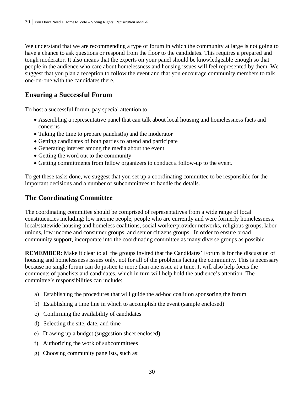We understand that we are recommending a type of forum in which the community at large is not going to have a chance to ask questions or respond from the floor to the candidates. This requires a prepared and tough moderator. It also means that the experts on your panel should be knowledgeable enough so that people in the audience who care about homelessness and housing issues will feel represented by them. We suggest that you plan a reception to follow the event and that you encourage community members to talk one-on-one with the candidates there.

### **Ensuring a Successful Forum**

To host a successful forum, pay special attention to:

- Assembling a representative panel that can talk about local housing and homelessness facts and concerns
- Taking the time to prepare panelist(s) and the moderator
- Getting candidates of both parties to attend and participate
- Generating interest among the media about the event
- Getting the word out to the community
- Getting commitments from fellow organizers to conduct a follow-up to the event.

To get these tasks done, we suggest that you set up a coordinating committee to be responsible for the important decisions and a number of subcommittees to handle the details.

#### **The Coordinating Committee**

The coordinating committee should be comprised of representatives from a wide range of local constituencies including: low income people, people who are currently and were formerly homelessness, local/statewide housing and homeless coalitions, social worker/provider networks, religious groups, labor unions, low income and consumer groups, and senior citizens groups. In order to ensure broad community support, incorporate into the coordinating committee as many diverse groups as possible.

**REMEMBER:** Make it clear to all the groups invited that the Candidates' Forum is for the discussion of housing and homelessness issues only, not for all of the problems facing the community. This is necessary because no single forum can do justice to more than one issue at a time. It will also help focus the comments of panelists and candidates, which in turn will help hold the audience's attention. The committee's responsibilities can include:

- a) Establishing the procedures that will guide the ad-hoc coalition sponsoring the forum
- b) Establishing a time line in which to accomplish the event (sample enclosed)
- c) Confirming the availability of candidates
- d) Selecting the site, date, and time
- e) Drawing up a budget (suggestion sheet enclosed)
- f) Authorizing the work of subcommittees
- g) Choosing community panelists, such as: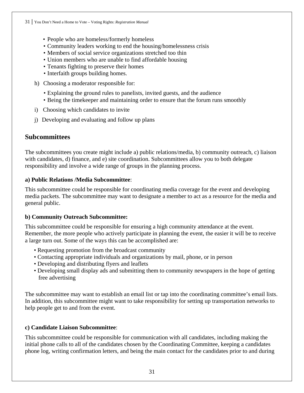- People who are homeless/formerly homeless
- Community leaders working to end the housing/homelessness crisis
- Members of social service organizations stretched too thin
- Union members who are unable to find affordable housing
- Tenants fighting to preserve their homes
- Interfaith groups building homes.
- h) Choosing a moderator responsible for:
	- Explaining the ground rules to panelists, invited guests, and the audience
	- Being the timekeeper and maintaining order to ensure that the forum runs smoothly
- i) Choosing which candidates to invite
- j) Developing and evaluating and follow up plans

#### **Subcommittees**

The subcommittees you create might include a) public relations/media, b) community outreach, c) liaison with candidates, d) finance, and e) site coordination. Subcommittees allow you to both delegate responsibility and involve a wide range of groups in the planning process.

#### **a) Public Relations /Media Subcommittee**:

This subcommittee could be responsible for coordinating media coverage for the event and developing media packets. The subcommittee may want to designate a member to act as a resource for the media and general public.

#### **b) Community Outreach Subcommittee:**

This subcommittee could be responsible for ensuring a high community attendance at the event. Remember, the more people who actively participate in planning the event, the easier it will be to receive a large turn out. Some of the ways this can be accomplished are:

- Requesting promotion from the broadcast community
- Contacting appropriate individuals and organizations by mail, phone, or in person
- Developing and distributing flyers and leaflets
- Developing small display ads and submitting them to community newspapers in the hope of getting free advertising

The subcommittee may want to establish an email list or tap into the coordinating committee's email lists. In addition, this subcommittee might want to take responsibility for setting up transportation networks to help people get to and from the event.

#### **c) Candidate Liaison Subcommittee**:

This subcommittee could be responsible for communication with all candidates, including making the initial phone calls to all of the candidates chosen by the Coordinating Committee, keeping a candidates phone log, writing confirmation letters, and being the main contact for the candidates prior to and during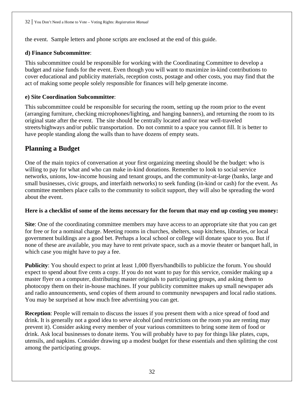the event. Sample letters and phone scripts are enclosed at the end of this guide.

#### **d) Finance Subcommittee**:

This subcommittee could be responsible for working with the Coordinating Committee to develop a budget and raise funds for the event. Even though you will want to maximize in-kind contributions to cover educational and publicity materials, reception costs, postage and other costs, you may find that the act of making some people solely responsible for finances will help generate income.

#### **e) Site Coordination Subcommittee**:

This subcommittee could be responsible for securing the room, setting up the room prior to the event (arranging furniture, checking microphones/lighting, and hanging banners), and returning the room to its original state after the event. The site should be centrally located and/or near well-traveled streets/highways and/or public transportation. Do not commit to a space you cannot fill. It is better to have people standing along the walls than to have dozens of empty seats.

#### **Planning a Budget**

One of the main topics of conversation at your first organizing meeting should be the budget: who is willing to pay for what and who can make in-kind donations. Remember to look to social service networks, unions, low-income housing and tenant groups, and the community-at-large (banks, large and small businesses, civic groups, and interfaith networks) to seek funding (in-kind or cash) for the event. As committee members place calls to the community to solicit support, they will also be spreading the word about the event.

#### **Here is a checklist of some of the items necessary for the forum that may end up costing you money:**

**Site**: One of the coordinating committee members may have access to an appropriate site that you can get for free or for a nominal charge. Meeting rooms in churches, shelters, soup kitchens, libraries, or local government buildings are a good bet. Perhaps a local school or college will donate space to you. But if none of these are available, you may have to rent private space, such as a movie theater or banquet hall, in which case you might have to pay a fee.

**Publicity**: You should expect to print at least 1,000 flyers/handbills to publicize the forum. You should expect to spend about five cents a copy. If you do not want to pay for this service, consider making up a master flyer on a computer, distributing master originals to participating groups, and asking them to photocopy them on their in-house machines. If your publicity committee makes up small newspaper ads and radio announcements, send copies of them around to community newspapers and local radio stations. You may be surprised at how much free advertising you can get.

**Reception**: People will remain to discuss the issues if you present them with a nice spread of food and drink. It is generally not a good idea to serve alcohol (and restrictions on the room you are renting may prevent it). Consider asking every member of your various committees to bring some item of food or drink. Ask local businesses to donate items. You will probably have to pay for things like plates, cups, utensils, and napkins. Consider drawing up a modest budget for these essentials and then splitting the cost among the participating groups.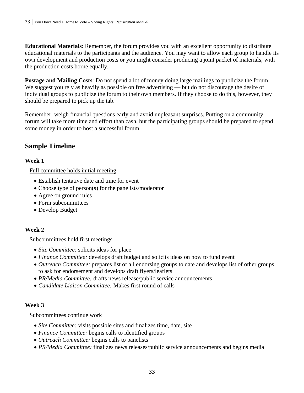**Educational Materials**: Remember, the forum provides you with an excellent opportunity to distribute educational materials to the participants and the audience. You may want to allow each group to handle its own development and production costs or you might consider producing a joint packet of materials, with the production costs borne equally.

**Postage and Mailing Costs**: Do not spend a lot of money doing large mailings to publicize the forum. We suggest you rely as heavily as possible on free advertising — but do not discourage the desire of individual groups to publicize the forum to their own members. If they choose to do this, however, they should be prepared to pick up the tab.

Remember, weigh financial questions early and avoid unpleasant surprises. Putting on a community forum will take more time and effort than cash, but the participating groups should be prepared to spend some money in order to host a successful forum.

#### **Sample Timeline**

#### **Week 1**

Full committee holds initial meeting

- Establish tentative date and time for event
- Choose type of person(s) for the panelists/moderator
- Agree on ground rules
- Form subcommittees
- Develop Budget

#### **Week 2**

#### Subcommittees hold first meetings

- *Site Committee:* solicits ideas for place
- *Finance Committee:* develops draft budget and solicits ideas on how to fund event
- *Outreach Committee:* prepares list of all endorsing groups to date and develops list of other groups to ask for endorsement and develops draft flyers/leaflets
- *PR/Media Committee:* drafts news release/public service announcements
- *Candidate Liaison Committee:* Makes first round of calls

#### **Week 3**

#### Subcommittees continue work

- *Site Committee:* visits possible sites and finalizes time, date, site
- *Finance Committee:* begins calls to identified groups
- *Outreach Committee:* begins calls to panelists
- *PR/Media Committee:* finalizes news releases/public service announcements and begins media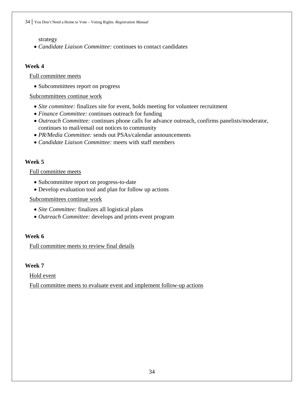#### strategy

• *Candidate Liaison Committee:* continues to contact candidates

#### **Week 4**

#### Full committee meets

• Subcommittees report on progress

#### Subcommittees continue work

- *Site committee:* finalizes site for event, holds meeting for volunteer recruitment
- *Finance Committee:* continues outreach for funding
- *Outreach Committee:* continues phone calls for advance outreach, confirms panelists/moderator, continues to mail/email out notices to community
- *PR/Media Committee:* sends out PSAs/calendar announcements
- *Candidate Liaison Committee:* meets with staff members

#### **Week 5**

#### Full committee meets

- Subcommittee report on progress-to-date
- Develop evaluation tool and plan for follow up actions

#### Subcommittees continue work

- *Site Committee:* finalizes all logistical plans
- *Outreach Committee:* develops and prints event program

#### **Week 6**

Full committee meets to review final details

#### **Week 7**

Hold event

Full committee meets to evaluate event and implement follow-up actions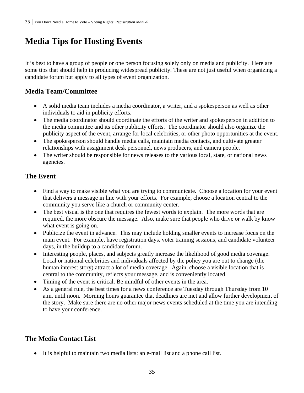# **Media Tips for Hosting Events**

It is best to have a group of people or one person focusing solely only on media and publicity. Here are some tips that should help in producing widespread publicity. These are not just useful when organizing a candidate forum but apply to all types of event organization.

### **Media Team/Committee**

- A solid media team includes a media coordinator, a writer, and a spokesperson as well as other individuals to aid in publicity efforts.
- The media coordinator should coordinate the efforts of the writer and spokesperson in addition to the media committee and its other publicity efforts. The coordinator should also organize the publicity aspect of the event, arrange for local celebrities, or other photo opportunities at the event.
- The spokesperson should handle media calls, maintain media contacts, and cultivate greater relationships with assignment desk personnel, news producers, and camera people.
- The writer should be responsible for news releases to the various local, state, or national news agencies.

### **The Event**

- Find a way to make visible what you are trying to communicate. Choose a location for your event that delivers a message in line with your efforts. For example, choose a location central to the community you serve like a church or community center.
- The best visual is the one that requires the fewest words to explain. The more words that are required, the more obscure the message. Also, make sure that people who drive or walk by know what event is going on.
- Publicize the event in advance. This may include holding smaller events to increase focus on the main event. For example, have registration days, voter training sessions, and candidate volunteer days, in the buildup to a candidate forum.
- Interesting people, places, and subjects greatly increase the likelihood of good media coverage. Local or national celebrities and individuals affected by the policy you are out to change (the human interest story) attract a lot of media coverage. Again, choose a visible location that is central to the community, reflects your message, and is conveniently located.
- Timing of the event is critical. Be mindful of other events in the area.
- As a general rule, the best times for a news conference are Tuesday through Thursday from 10 a.m. until noon. Morning hours guarantee that deadlines are met and allow further development of the story. Make sure there are no other major news events scheduled at the time you are intending to have your conference.

### **The Media Contact List**

• It is helpful to maintain two media lists: an e-mail list and a phone call list.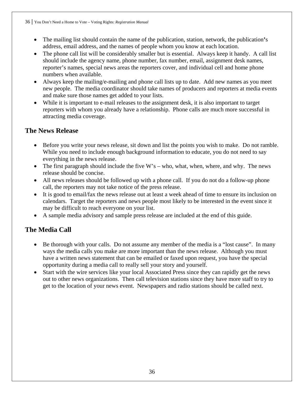- The mailing list should contain the name of the publication, station, network, the publication**'**s address, email address, and the names of people whom you know at each location.
- The phone call list will be considerably smaller but is essential. Always keep it handy. A call list should include the agency name, phone number, fax number, email, assignment desk names, reporter's names, special news areas the reporters cover, and individual cell and home phone numbers when available.
- Always keep the mailing/e-mailing and phone call lists up to date. Add new names as you meet new people. The media coordinator should take names of producers and reporters at media events and make sure those names get added to your lists.
- While it is important to e-mail releases to the assignment desk, it is also important to target reporters with whom you already have a relationship. Phone calls are much more successful in attracting media coverage.

#### **The News Release**

- Before you write your news release, sit down and list the points you wish to make. Do not ramble. While you need to include enough background information to educate, you do not need to say everything in the news release.
- The first paragraph should include the five  $W$ 's who, what, when, where, and why. The news release should be concise.
- All news releases should be followed up with a phone call. If you do not do a follow-up phone call, the reporters may not take notice of the press release.
- It is good to email/fax the news release out at least a week ahead of time to ensure its inclusion on calendars. Target the reporters and news people most likely to be interested in the event since it may be difficult to reach everyone on your list.
- A sample media advisory and sample press release are included at the end of this guide.

### **The Media Call**

- Be thorough with your calls. Do not assume any member of the media is a "lost cause". In many ways the media calls you make are more important than the news release. Although you must have a written news statement that can be emailed or faxed upon request, you have the special opportunity during a media call to really sell your story and yourself.
- Start with the wire services like your local Associated Press since they can rapidly get the news out to other news organizations. Then call television stations since they have more staff to try to get to the location of your news event. Newspapers and radio stations should be called next.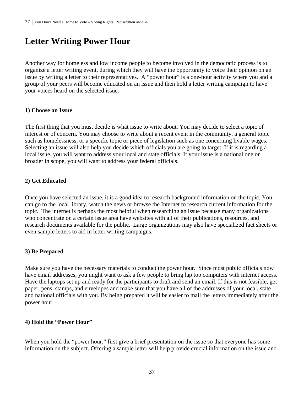# **Letter Writing Power Hour**

Another way for homeless and low income people to become involved in the democratic process is to organize a letter writing event, during which they will have the opportunity to voice their opinion on an issue by writing a letter to their representatives. A "power hour" is a one-hour activity where you and a group of your peers will become educated on an issue and then hold a letter writing campaign to have your voices heard on the selected issue.

# **1) Choose an Issue**

The first thing that you must decide is what issue to write about. You may decide to select a topic of interest or of concern. You may choose to write about a recent event in the community, a general topic such as homelessness, or a specific topic or piece of legislation such as one concerning livable wages. Selecting an issue will also help you decide which officials you are going to target. If it is regarding a local issue, you will want to address your local and state officials. If your issue is a national one or broader in scope, you will want to address your federal officials.

# **2) Get Educated**

Once you have selected an issue, it is a good idea to research background information on the topic. You can go to the local library, watch the news or browse the Internet to research current information for the topic. The internet is perhaps the most helpful when researching an issue because many organizations who concentrate on a certain issue area have websites with all of their publications, resources, and research documents available for the public. Large organizations may also have specialized fact sheets or even sample letters to aid in letter writing campaigns.

# **3) Be Prepared**

Make sure you have the necessary materials to conduct the power hour. Since most public officials now have email addresses, you might want to ask a few people to bring lap top computers with internet access. Have the laptops set up and ready for the participants to draft and send an email. If this is not feasible, get paper, pens, stamps, and envelopes and make sure that you have all of the addresses of your local, state and national officials with you. By being prepared it will be easier to mail the letters immediately after the power hour.

# **4) Hold the "Power Hour"**

When you hold the "power hour," first give a brief presentation on the issue so that everyone has some information on the subject. Offering a sample letter will help provide crucial information on the issue and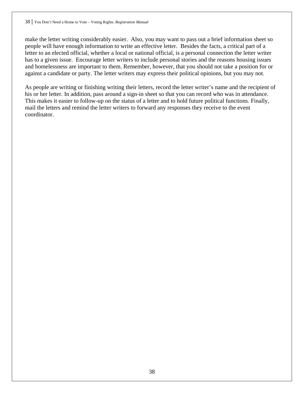make the letter writing considerably easier. Also, you may want to pass out a brief information sheet so people will have enough information to write an effective letter. Besides the facts, a critical part of a letter to an elected official, whether a local or national official, is a personal connection the letter writer has to a given issue. Encourage letter writers to include personal stories and the reasons housing issues and homelessness are important to them. Remember, however, that you should not take a position for or against a candidate or party. The letter writers may express their political opinions, but you may not.

As people are writing or finishing writing their letters, record the letter writer's name and the recipient of his or her letter. In addition, pass around a sign-in sheet so that you can record who was in attendance. This makes it easier to follow-up on the status of a letter and to hold future political functions. Finally, mail the letters and remind the letter writers to forward any responses they receive to the event coordinator.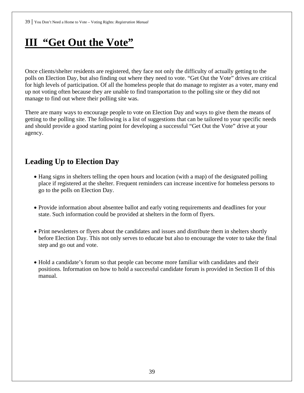# **III "Get Out the Vote"**

Once clients/shelter residents are registered, they face not only the difficulty of actually getting to the polls on Election Day, but also finding out where they need to vote. "Get Out the Vote" drives are critical for high levels of participation. Of all the homeless people that do manage to register as a voter, many end up not voting often because they are unable to find transportation to the polling site or they did not manage to find out where their polling site was.

There are many ways to encourage people to vote on Election Day and ways to give them the means of getting to the polling site. The following is a list of suggestions that can be tailored to your specific needs and should provide a good starting point for developing a successful "Get Out the Vote" drive at your agency.

# **Leading Up to Election Day**

- Hang signs in shelters telling the open hours and location (with a map) of the designated polling place if registered at the shelter. Frequent reminders can increase incentive for homeless persons to go to the polls on Election Day.
- Provide information about absentee ballot and early voting requirements and deadlines for your state. Such information could be provided at shelters in the form of flyers.
- Print newsletters or flyers about the candidates and issues and distribute them in shelters shortly before Election Day. This not only serves to educate but also to encourage the voter to take the final step and go out and vote.
- Hold a candidate's forum so that people can become more familiar with candidates and their positions. Information on how to hold a successful candidate forum is provided in Section II of this manual.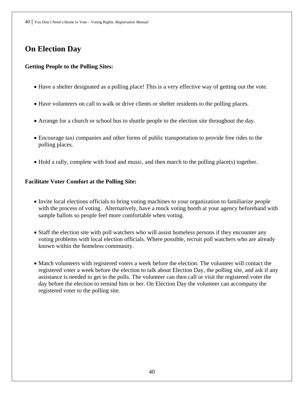# **On Election Day**

# **Getting People to the Polling Sites:**

- Have a shelter designated as a polling place! This is a very effective way of getting out the vote.
- Have volunteers on call to walk or drive clients or shelter residents to the polling places.
- Arrange for a church or school bus to shuttle people to the election site throughout the day.
- Encourage taxi companies and other forms of public transportation to provide free rides to the polling places.
- Hold a rally, complete with food and music, and then march to the polling place(s) together.

# **Facilitate Voter Comfort at the Polling Site:**

- Invite local elections officials to bring voting machines to your organization to familiarize people with the process of voting. Alternatively, have a mock voting booth at your agency beforehand with sample ballots so people feel more comfortable when voting.
- Staff the election site with poll watchers who will assist homeless persons if they encounter any voting problems with local election officials. Where possible, recruit poll watchers who are already known within the homeless community.
- Match volunteers with registered voters a week before the election. The volunteer will contact the registered voter a week before the election to talk about Election Day, the polling site, and ask if any assistance is needed to get to the polls. The volunteer can then call or visit the registered voter the day before the election to remind him or her. On Election Day the volunteer can accompany the registered voter to the polling site.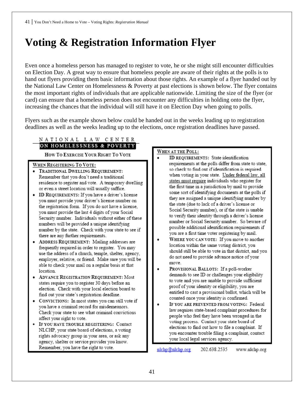# **Voting & Registration Information Flyer**

Even once a homeless person has managed to register to vote, he or she might still encounter difficulties on Election Day. A great way to ensure that homeless people are aware of their rights at the polls is to hand out flyers providing them basic information about those rights. An example of a flyer handed out by the National Law Center on Homelessness & Poverty at past elections is shown below. The flyer contains the most important rights of individuals that are applicable nationwide. Limiting the size of the flyer (or card) can ensure that a homeless person does not encounter any difficulties in holding onto the flyer, increasing the chances that the individual will still have it on Election Day when going to polls.

Flyers such as the example shown below could be handed out in the weeks leading up to registration deadlines as well as the weeks leading up to the elections, once registration deadlines have passed.

#### NATIONAL LAW CENTER ON HOMELESSNESS & POVERTY

HOW TO EXERCISE YOUR RIGHT TO VOTE

#### WHEN REGISTERING TO VOTE:

- · TRADITIONAL DWELLING REQUIREMENT: Remember that you don't need a traditional<br>residence to register and vote. A temporary dwelling<br>or even a street location will usually suffice.
- ID REQUIREMENTS: If you have a driver's license you must provide your driver's license number on Security number. Individuals without either of these numbers will be provided a unique identifying number by the state. Check with your state to see if you are a first time voter registering by mail.<br>
there are any further requirements.
- frequently required in order to register. You may use the address of a church, temple, shelter, agency, employer, relative, or friend. Make sure you will be able to check your mail on a regular basis at that
- 
- CONVICTIONS: In most states you can still vote if a second counter of the prevent place of residence, Federal
- rights advocacy group in your area, or ask any agency, shelter or service provider you know. Remember, you have the right to vote.

#### WHEN AT THE POLL:

- ID REQUIREMENTS: State identification requirements at the polls differ from state to state, so check to find out if identification is required when voting in your state. Under federal law, all states must require individuals who register for the first time in a jurisdiction by mail to provide some sort of identifying documents at the polls if they are assigned a unique identifying number by For the registration form. If you do not have a license,<br>
you must provide the last 4 digits of your Social<br>
Social Security number), or if the state is unable<br>
Social Security number), or if the state is unable<br>
to verify number or Social Security number. So beware of possible additional identification requirements if
- ADDRESS REQUIREMENT: Mailing addresses are **of the overcome in the overcome in the overcome in the overcome in the overcome in the state of the state of the state of the state of the state of the state of the state of th** location within the same voting district, you should still be able to vote in that district, and you do not need to provide advance notice of your move.
- Some states had previously required register and the states of the states of the previously required register to register the demands to see ID or challenges your eligibility demands to see ID or challenges your eligibilit value in contract decisions in contract cases and the enact of states require you to register 30 days before an states require you to register 50 days before an<br>election. Check with your local election board to<br>find out your state's requirements of equiling the living on the living on the living on the entitled to cast a provisional find out your state's registration deadline.<br>Counted to cast a provisional banot, which register and vote of the right of the right of the right of the right of the right of the right of the right of the right of the right
- you have a criminal record for misdemeanors.<br>Check your state to see what criminal convictions law requires state-based complaint procedures for recently state to see what enfining convictions and the district in which sheep who feel they have been wronged in the affect your right to vote. affect your right to vote.<br>• IF YOU HAVE TROUBLE REGISTERING: Contact with a residence may be indicated by indicated by indicated by indicated by indicated by indicated by indicated by indicated by indicated by indicated b dections to find out how to file a complaint. If<br>NLCHP, your state board of elections, a voting<br>wou encounter trouble filing a complaint, contact your local legal services agency.

nlchp@nlchp.org 202.638.2535 www.nlchp.org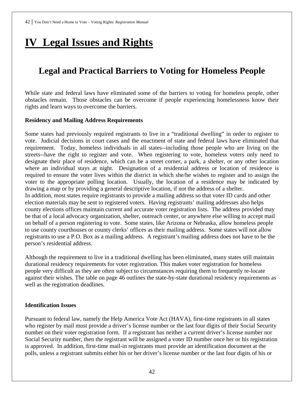# **IV Legal Issues and Rights**

# **Legal and Practical Barriers to Voting for Homeless People**

While state and federal laws have eliminated some of the barriers to voting for homeless people, other obstacles remain. Those obstacles can be overcome if people experiencing homelessness know their rights and learn ways to overcome the barriers.

#### **Residency and Mailing Address Requirements**

Some states had previously required registrants to live in a "traditional dwelling" in order to register to vote. Judicial decisions in court cases and the enactment of state and federal laws have eliminated that requirement. Today, homeless individuals in all states--including those people who are living on the streets--have the right to register and vote. When registering to vote, homeless voters only need to designate their place of residence, which can be a street corner, a park, a shelter, or any other location where an individual stays at night. Designation of a residential address or location of residence is required to ensure the voter lives within the district in which she/he wishes to register and to assign the voter to the appropriate polling location. Usually, the location of a residence may be indicated by drawing a map or by providing a general descriptive location, if not the address of a shelter. In addition, most states require registrants to provide a mailing address so that voter ID cards and other election materials may be sent to registered voters. Having registrants' mailing addresses also helps county elections offices maintain current and accurate voter registration lists. The address provided may be that of a local advocacy organization, shelter, outreach center, or anywhere else willing to accept mail on behalf of a person registering to vote. Some states, like Arizona or Nebraska, allow homeless people to use county courthouses or county clerks' offices as their mailing address. Some states will not allow registrants to use a P.O. Box as a mailing address. A registrant's mailing address does not have to be the person's residential address.

Although the requirement to live in a traditional dwelling has been eliminated, many states still maintain durational residency requirements for voter registration. This makes voter registration for homeless people very difficult as they are often subject to circumstances requiring them to frequently re-locate against their wishes. The table on page 46 outlines the state-by-state durational residency requirements as well as the registration deadlines.

#### **Identification Issues**

Pursuant to federal law, namely the Help America Vote Act (HAVA), first-time registrants in all states who register by mail must provide a driver's license number or the last four digits of their Social Security number on their voter registration form. If a registrant has neither a current driver's license number nor Social Security number, then the registrant will be assigned a voter ID number once her or his registration is approved. In addition, first-time mail-in registrants must provide an identification document at the polls, unless a registrant submits either his or her driver's license number or the last four digits of his or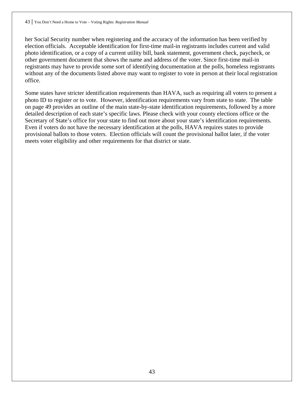her Social Security number when registering and the accuracy of the information has been verified by election officials. Acceptable identification for first-time mail-in registrants includes current and valid photo identification, or a copy of a current utility bill, bank statement, government check, paycheck, or other government document that shows the name and address of the voter. Since first-time mail-in registrants may have to provide some sort of identifying documentation at the polls, homeless registrants without any of the documents listed above may want to register to vote in person at their local registration office.

Some states have stricter identification requirements than HAVA, such as requiring all voters to present a photo ID to register or to vote. However, identification requirements vary from state to state. The table on page 49 provides an outline of the main state-by-state identification requirements, followed by a more detailed description of each state's specific laws. Please check with your county elections office or the Secretary of State's office for your state to find out more about your state's identification requirements. Even if voters do not have the necessary identification at the polls, HAVA requires states to provide provisional ballots to those voters. Election officials will count the provisional ballot later, if the voter meets voter eligibility and other requirements for that district or state.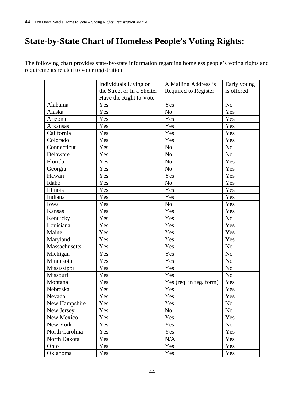# **State-by-State Chart of Homeless People's Voting Rights:**

The following chart provides state-by-state information regarding homeless people's voting rights and requirements related to voter registration.

|                 | Individuals Living on      | A Mailing Address is    | Early voting   |
|-----------------|----------------------------|-------------------------|----------------|
|                 | the Street or In a Shelter | Required to Register    | is offered     |
|                 | Have the Right to Vote     |                         |                |
| Alabama         | Yes                        | Yes                     | N <sub>o</sub> |
| Alaska          | Yes                        | N <sub>o</sub>          | Yes            |
| Arizona         | Yes                        | Yes                     | Yes            |
| <b>Arkansas</b> | Yes                        | Yes                     | Yes            |
| California      | Yes                        | Yes                     | Yes            |
| Colorado        | Yes                        | Yes                     | Yes            |
| Connecticut     | Yes                        | N <sub>o</sub>          | N <sub>o</sub> |
| Delaware        | Yes                        | N <sub>o</sub>          | N <sub>o</sub> |
| Florida         | Yes                        | N <sub>o</sub>          | Yes            |
| Georgia         | Yes                        | N <sub>o</sub>          | Yes            |
| Hawaii          | Yes                        | Yes                     | Yes            |
| Idaho           | Yes                        | N <sub>o</sub>          | Yes            |
| Illinois        | Yes                        | Yes                     | Yes            |
| Indiana         | Yes                        | Yes                     | Yes            |
| Iowa            | Yes                        | N <sub>o</sub>          | Yes            |
| Kansas          | Yes                        | Yes                     | Yes            |
| Kentucky        | Yes                        | Yes                     | N <sub>o</sub> |
| Louisiana       | Yes                        | Yes                     | Yes            |
| Maine           | Yes                        | Yes                     | Yes            |
| Maryland        | Yes                        | Yes                     | Yes            |
| Massachusetts   | Yes                        | Yes                     | N <sub>o</sub> |
| Michigan        | Yes                        | Yes                     | N <sub>o</sub> |
| Minnesota       | Yes                        | Yes                     | N <sub>o</sub> |
| Mississippi     | Yes                        | Yes                     | N <sub>o</sub> |
| Missouri        | Yes                        | Yes                     | N <sub>o</sub> |
| Montana         | Yes                        | Yes (req. in reg. form) | Yes            |
| Nebraska        | Yes                        | Yes                     | Yes            |
| Nevada          | Yes                        | Yes                     | Yes            |
| New Hampshire   | Yes                        | Yes                     | N <sub>o</sub> |
| New Jersey      | Yes                        | N <sub>o</sub>          | N <sub>o</sub> |
| New Mexico      | Yes                        | Yes                     | Yes            |
| New York        | Yes                        | Yes                     | No             |
| North Carolina  | Yes                        | Yes                     | Yes            |
| North Dakota†   | Yes                        | N/A                     | Yes            |
| Ohio            | Yes                        | Yes                     | Yes            |
| Oklahoma        | Yes                        | Yes                     | Yes            |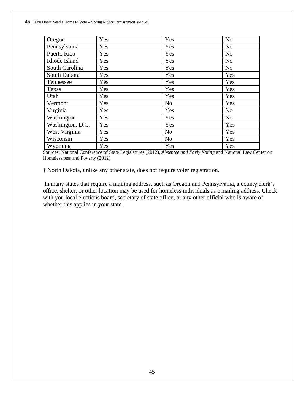| Oregon           | Yes | Yes            | N <sub>o</sub> |
|------------------|-----|----------------|----------------|
| Pennsylvania     | Yes | Yes            | N <sub>o</sub> |
| Puerto Rico      | Yes | Yes            | N <sub>o</sub> |
| Rhode Island     | Yes | Yes            | N <sub>o</sub> |
| South Carolina   | Yes | Yes            | N <sub>o</sub> |
| South Dakota     | Yes | Yes            | Yes            |
| Tennessee        | Yes | Yes            | Yes            |
| Texas            | Yes | Yes            | Yes            |
| Utah             | Yes | Yes            | Yes            |
| Vermont          | Yes | N <sub>o</sub> | Yes            |
| Virginia         | Yes | Yes            | N <sub>o</sub> |
| Washington       | Yes | Yes            | N <sub>o</sub> |
| Washington, D.C. | Yes | Yes            | Yes            |
| West Virginia    | Yes | N <sub>o</sub> | Yes            |
| Wisconsin        | Yes | N <sub>o</sub> | Yes            |
| Wyoming          | Yes | Yes            | Yes            |

Sources: National Conference of State Legislatures (2012), *Absentee and Early Voting* and National Law Center on Homelessness and Poverty (2012)

† North Dakota, unlike any other state, does not require voter registration.

 In many states that require a mailing address, such as Oregon and Pennsylvania, a county clerk's office, shelter, or other location may be used for homeless individuals as a mailing address. Check with you local elections board, secretary of state office, or any other official who is aware of whether this applies in your state.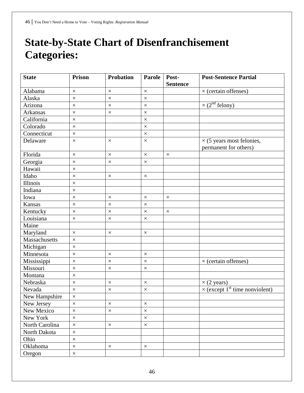# **State-by-State Chart of Disenfranchisement Categories:**

| <b>State</b>    | <b>Prison</b> | <b>Probation</b> | Parole   | Post-<br><b>Sentence</b> | <b>Post-Sentence Partial</b>                              |
|-----------------|---------------|------------------|----------|--------------------------|-----------------------------------------------------------|
| Alabama         | $\times$      | $\times$         | $\times$ |                          | $\times$ (certain offenses)                               |
| Alaska          | $\times$      | $\times$         | $\times$ |                          |                                                           |
| Arizona         | $\times$      | $\times$         | $\times$ |                          | $\times$ (2 <sup>nd</sup> felony)                         |
| Arkansas        | $\times$      | $\times$         | $\times$ |                          |                                                           |
| California      | $\times$      |                  | $\times$ |                          |                                                           |
| Colorado        | $\times$      |                  | $\times$ |                          |                                                           |
| Connecticut     | $\times$      |                  | $\times$ |                          |                                                           |
| Delaware        | $\times$      | $\times$         | $\times$ |                          | $\times$ (5 years most felonies,<br>permanent for others) |
| Florida         | $\times$      | $\times$         | $\times$ | $\times$                 |                                                           |
| Georgia         | $\times$      | $\times$         | $\times$ |                          |                                                           |
| Hawaii          | $\times$      |                  |          |                          |                                                           |
| Idaho           | $\times$      | $\times$         | $\times$ |                          |                                                           |
| <b>Illinois</b> | $\times$      |                  |          |                          |                                                           |
| Indiana         | $\times$      |                  |          |                          |                                                           |
| Iowa            | $\times$      | $\times$         | $\times$ | $\times$                 |                                                           |
| Kansas          | $\times$      | $\times$         | $\times$ |                          |                                                           |
| Kentucky        | $\times$      | $\times$         | $\times$ | $\times$                 |                                                           |
| Louisiana       | $\times$      | $\times$         | $\times$ |                          |                                                           |
| Maine           |               |                  |          |                          |                                                           |
| Maryland        | $\times$      | $\times$         | $\times$ |                          |                                                           |
| Massachusetts   | $\times$      |                  |          |                          |                                                           |
| Michigan        | $\times$      |                  |          |                          |                                                           |
| Minnesota       | $\times$      | $\times$         | $\times$ |                          |                                                           |
| Mississippi     | $\times$      | $\times$         | $\times$ |                          | $\times$ (certain offenses)                               |
| Missouri        | $\times$      | $\times$         | $\times$ |                          |                                                           |
| Montana         | $\times$      |                  |          |                          |                                                           |
| Nebraska        | $\times$      | $\times$         | $\times$ |                          | $\times$ (2 years)                                        |
| Nevada          | $\times$      | $\times$         | $\times$ |                          | $\times$ (except 1 <sup>st</sup> time nonviolent)         |
| New Hampshire   | $\times$      |                  |          |                          |                                                           |
| New Jersey      | $\times$      | $\times$         | $\times$ |                          |                                                           |
| New Mexico      | $\times$      | $\times$         | $\times$ |                          |                                                           |
| New York        | $\times$      |                  | $\times$ |                          |                                                           |
| North Carolina  | $\times$      | $\times$         | $\times$ |                          |                                                           |
| North Dakota    | $\times$      |                  |          |                          |                                                           |
| Ohio            | $\times$      |                  |          |                          |                                                           |
| Oklahoma        | $\times$      | $\times$         | $\times$ |                          |                                                           |
| Oregon          | $\times$      |                  |          |                          |                                                           |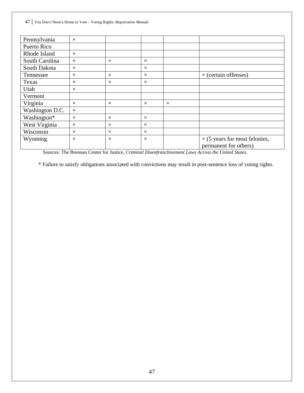| $\times$ |          |          |          |                                                               |
|----------|----------|----------|----------|---------------------------------------------------------------|
| $\times$ | $\times$ | $\times$ |          |                                                               |
| $\times$ |          | $\times$ |          |                                                               |
| $\times$ | $\times$ | $\times$ |          | $\times$ (certain offenses)                                   |
| $\times$ | $\times$ | $\times$ |          |                                                               |
| $\times$ |          |          |          |                                                               |
|          |          |          |          |                                                               |
| $\times$ | $\times$ | $\times$ | $\times$ |                                                               |
| $\times$ |          |          |          |                                                               |
| $\times$ | $\times$ | $\times$ |          |                                                               |
| $\times$ | $\times$ | $\times$ |          |                                                               |
| $\times$ | $\times$ | $\times$ |          |                                                               |
| $\times$ | $\times$ | $\times$ |          | $\times$ (5 years for most felonies,<br>permanent for others) |
|          |          |          |          |                                                               |

Sources: The Brennan Center for Justice, *Criminal Disenfranchisement Laws Across the United States.* 

\* Failure to satisfy obligations associated with convictions may result in post-sentence loss of voting rights.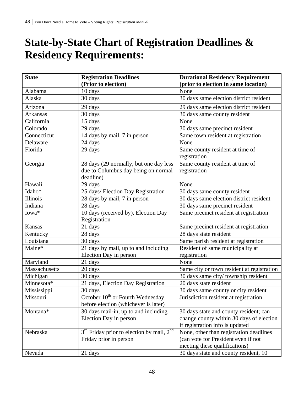# **State-by-State Chart of Registration Deadlines & Residency Requirements:**

| <b>State</b>    | <b>Registration Deadlines</b>                                     | <b>Durational Residency Requirement</b>    |
|-----------------|-------------------------------------------------------------------|--------------------------------------------|
|                 | (Prior to election)                                               | (prior to election in same location)       |
| Alabama         | 10 days                                                           | None                                       |
| Alaska          | 30 days                                                           | 30 days same election district resident    |
| Arizona         | 29 days                                                           | 29 days same election district resident    |
| <b>Arkansas</b> | 30 days                                                           | 30 days same county resident               |
| California      | 15 days                                                           | None                                       |
| Colorado        | 29 days                                                           | 30 days same precinct resident             |
| Connecticut     | 14 days by mail, 7 in person                                      | Same town resident at registration         |
| Delaware        | 24 days                                                           | None                                       |
| Florida         | 29 days                                                           | Same county resident at time of            |
|                 |                                                                   | registration                               |
| Georgia         | 28 days (29 normally, but one day less                            | Same county resident at time of            |
|                 | due to Columbus day being on normal                               | registration                               |
|                 | deadline)                                                         |                                            |
| Hawaii          | 29 days                                                           | None                                       |
| Idaho*          | 25 days/ Election Day Registration                                | 30 days same county resident               |
| Illinois        | 28 days by mail, 7 in person                                      | 30 days same election district resident    |
| Indiana         | 28 days                                                           | 30 days same precinct resident             |
| Iowa*           | 10 days (received by), Election Day                               | Same precinct resident at registration     |
|                 | Registration                                                      |                                            |
| Kansas          | 21 days                                                           | Same precinct resident at registration     |
| Kentucky        | 28 days                                                           | 28 days state resident                     |
| Louisiana       | 30 days                                                           | Same parish resident at registration       |
| Maine*          | 21 days by mail, up to and including                              | Resident of same municipality at           |
|                 | Election Day in person                                            | registration                               |
| Maryland        | 21 days                                                           | None                                       |
| Massachusetts   | 20 days                                                           | Same city or town resident at registration |
| Michigan        | 30 days                                                           | 30 days same city/township resident        |
| Minnesota*      | 21 days, Election Day Registration                                | 20 days state resident                     |
| Mississippi     | 30 days                                                           | 30 days same county or city resident       |
| Missouri        | October 10 <sup>th</sup> or Fourth Wednesday                      | Jurisdiction resident at registration      |
|                 | before election (whichever is later)                              |                                            |
| Montana*        | 30 days mail-in, up to and including                              | 30 days state and county resident; can     |
|                 | Election Day in person                                            | change county within 30 days of election   |
|                 |                                                                   | if registration info is updated            |
| Nebraska        | 3 <sup>rd</sup> Friday prior to election by mail, 2 <sup>nd</sup> | None, other than registration deadlines    |
|                 | Friday prior in person                                            | (can vote for President even if not        |
|                 |                                                                   | meeting these qualifications)              |
| Nevada          | 21 days                                                           | 30 days state and county resident, 10      |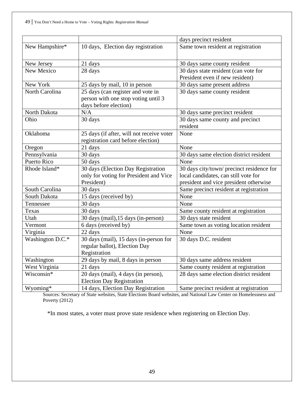|                  |                                           | days precinct resident                    |
|------------------|-------------------------------------------|-------------------------------------------|
| New Hampshire*   | 10 days, Election day registration        | Same town resident at registration        |
|                  |                                           |                                           |
| New Jersey       | 21 days                                   | 30 days same county resident              |
| New Mexico       | 28 days                                   | 30 days state resident (can vote for      |
|                  |                                           | President even if new resident)           |
| New York         | 25 days by mail, 10 in person             | 30 days same present address              |
| North Carolina   | 25 days (can register and vote in         | 30 days same county resident              |
|                  | person with one stop voting until 3       |                                           |
|                  | days before election)                     |                                           |
| North Dakota     | N/A                                       | 30 days same precinct resident            |
| Ohio             | 30 days                                   | 30 days same county and precinct          |
|                  |                                           | resident                                  |
| Oklahoma         | 25 days (if after, will not receive voter | None                                      |
|                  | registration card before election)        |                                           |
| Oregon           | 21 days                                   | None                                      |
| Pennsylvania     | 30 days                                   | 30 days same election district resident   |
| Puerto Rico      | 50 days                                   | None                                      |
| Rhode Island*    | 30 days (Election Day Registration        | 30 days city/town/ precinct residence for |
|                  | only for voting for President and Vice    | local candidates, can still vote for      |
|                  | President)                                | president and vice president otherwise    |
| South Carolina   | 30 days                                   | Same precinct resident at registration    |
| South Dakota     | 15 days (received by)                     | None                                      |
| Tennessee        | 30 days                                   | None                                      |
| Texas            | 30 days                                   | Same county resident at registration      |
| Utah             | 30 days (mail), 15 days (in-person)       | 30 days state resident                    |
| Vermont          | 6 days (received by)                      | Same town as voting location resident     |
| Virginia         | 22 days                                   | None                                      |
| Washington D.C.* | 30 days (mail), 15 days (in-person for    | 30 days D.C. resident                     |
|                  | regular ballot), Election Day             |                                           |
|                  | Registration                              |                                           |
| Washington       | 29 days by mail, 8 days in person         | 30 days same address resident             |
| West Virginia    | 21 days                                   | Same county resident at registration      |
| Wisconsin*       | 20 days (mail), 4 days (in person),       | 28 days same election district resident   |
|                  | <b>Election Day Registration</b>          |                                           |
| Wyoming*         | 14 days, Election Day Registration        | Same precinct resident at registration    |

Sources: Secretary of State websites, State Elections Board websites, and National Law Center on Homelessness and Poverty (2012)

\*In most states, a voter must prove state residence when registering on Election Day.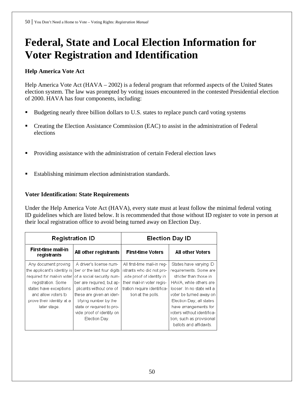# **Federal, State and Local Election Information for Voter Registration and Identification**

# **Help America Vote Act**

Help America Vote Act (HAVA – 2002) is a federal program that reformed aspects of the United States election system. The law was prompted by voting issues encountered in the contested Presidential election of 2000. HAVA has four components, including:

- Budgeting nearly three billion dollars to U.S. states to replace punch card voting systems
- Creating the Election Assistance Commission (EAC) to assist in the administration of Federal elections
- Providing assistance with the administration of certain Federal election laws
- Establishing minimum election administration standards.

# **Voter Identification: State Requirements**

Under the Help America Vote Act (HAVA), every state must at least follow the minimal federal voting ID guidelines which are listed below. It is recommended that those without ID register to vote in person at their local registration office to avoid being turned away on Election Day.

| <b>Registration ID</b>                   |                             | <b>Election Day ID</b>      |                            |  |
|------------------------------------------|-----------------------------|-----------------------------|----------------------------|--|
| <b>First-time mail-in</b><br>registrants | All other registrants       | <b>First-time Voters</b>    | <b>All other Voters</b>    |  |
| Any document proving                     | A driver's license num-     | All first-time mail-in reg- | States have varying ID     |  |
| the applicant's identity is              | ber or the last four digits | istrants who did not pro-   | requirements. Some are     |  |
| required for mail-in voter               | of a social security num-   | vide proof of identity in   | stricter than those in     |  |
| registration. Some                       | ber are required, but ap-   | their mail-in voter regis-  | HAVA, while others are     |  |
| states have exceptions                   | plicants without one of     | tration require identifica- | looser. In no state will a |  |
| and allow voters to                      | these are given an iden-    | tion at the polls.          | voter be turned away on    |  |
| prove their identity at a                | tifying number by the       |                             | Election Day; all states   |  |
| later stage.                             | state or required to pro-   |                             | have arrangements for      |  |
|                                          | vide proof of identity on   |                             | voters without identifica- |  |
|                                          | Election Day.               |                             | tion, such as provisional  |  |
|                                          |                             |                             | ballots and affidavits.    |  |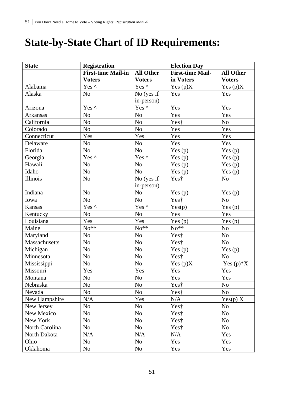# **State-by-State Chart of ID Requirements:**

| <b>State</b>   | <b>Registration</b>       |                        | <b>Election Day</b>     |                          |  |
|----------------|---------------------------|------------------------|-------------------------|--------------------------|--|
|                | <b>First-time Mail-in</b> | <b>All Other</b>       | <b>First-time Mail-</b> | <b>All Other</b>         |  |
|                | <b>Voters</b>             | <b>Voters</b>          | in Voters               | <b>Voters</b>            |  |
| Alabama        | Yes ^                     | Yes ^                  | Yes $(p)X$              | Yes $(p)X$               |  |
| Alaska         | N <sub>o</sub>            | No (yes if             | Yes                     | Yes                      |  |
|                |                           | in-person)             |                         |                          |  |
| Arizona        | Yes ^                     | Yes ^                  | Yes                     | Yes                      |  |
| Arkansas       | No                        | N <sub>o</sub>         | Yes                     | Yes                      |  |
| California     | N <sub>o</sub>            | No                     | Yest                    | No                       |  |
| Colorado       | No                        | No                     | Yes                     | Yes                      |  |
| Connecticut    | Yes                       | Yes                    | Yes                     | Yes                      |  |
| Delaware       | N <sub>o</sub>            | No                     | Yes                     | Yes                      |  |
| Florida        | $\rm No$                  | No                     | Yes $(p)$               | Yes $(p)$                |  |
| Georgia        | Yes ^                     | Yes ^                  | Yes $(p)$               | Yes $(p)$                |  |
| Hawaii         | No                        | No                     | Yes $(p)$               | Yes $(p)$                |  |
| Idaho          | No                        | N <sub>o</sub>         | Yes $(p)$               | Yes $(p)$                |  |
| Illinois       | N <sub>o</sub>            | No (yes if             | Yes†                    | N <sub>o</sub>           |  |
|                |                           | in-person)             |                         |                          |  |
| Indiana        | No                        | No                     | Yes $(p)$               | Yes $(p)$                |  |
| Iowa           | No                        | No                     | Yest                    | No                       |  |
| Kansas         | Yes ^                     | Yes $\wedge$           | Yes(p)                  | Yes $(p)$                |  |
| Kentucky       | No                        | N <sub>o</sub>         | Yes                     | Yes                      |  |
| Louisiana      | Yes                       | Yes                    | Yes $(p)$               | Yes $(p)$                |  |
| Maine          | $No**$                    | $No**$                 | $No**$                  | N <sub>o</sub>           |  |
| Maryland       | No                        | No                     | Yes†                    | N <sub>o</sub>           |  |
| Massachusetts  | No                        | $\rm No$               | Yest                    | N <sub>o</sub>           |  |
| Michigan       | No                        | No                     | Yes $(p)$               | Yes $(p)$                |  |
| Minnesota      | No                        | N <sub>o</sub>         | Yes†                    | N <sub>o</sub>           |  |
| Mississippi    | No                        | N <sub>o</sub>         | Yes $(p)X$              | Yes $(p)$ <sup>*</sup> X |  |
| Missouri       | Yes                       | Yes                    | Yes                     | Yes                      |  |
| Montana        | No                        | No                     | Yes                     | Yes                      |  |
| Nebraska       | $\overline{No}$           | $\overline{\text{No}}$ | $\overline{Yes}$ †      | N <sub>o</sub>           |  |
| Nevada         | N <sub>o</sub>            | N <sub>o</sub>         | Yes†                    | N <sub>o</sub>           |  |
| New Hampshire  | N/A                       | Yes                    | N/A                     | Yes(p) X                 |  |
| New Jersey     | N <sub>o</sub>            | N <sub>o</sub>         | Yes†                    | N <sub>o</sub>           |  |
| New Mexico     | No                        | N <sub>o</sub>         | Yes†                    | N <sub>o</sub>           |  |
| New York       | No                        | N <sub>o</sub>         | Yes <sup>†</sup>        | No                       |  |
| North Carolina | No                        | N <sub>o</sub>         | Yes†                    | No                       |  |
| North Dakota   | N/A                       | $\rm N/A$              | N/A                     | Yes                      |  |
| Ohio           | N <sub>o</sub>            | No                     | Yes                     | Yes                      |  |
| Oklahoma       | N <sub>o</sub>            | N <sub>o</sub>         | Yes                     | Yes                      |  |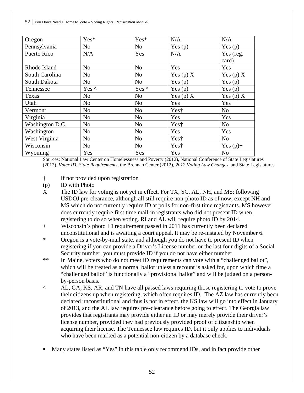| Oregon          | Yes*           | Yes*           | N/A              | N/A            |
|-----------------|----------------|----------------|------------------|----------------|
| Pennsylvania    | N <sub>o</sub> | No             | Yes $(p)$        | Yes $(p)$      |
| Puerto Rico     | N/A            | Yes            | N/A              | Yes (reg.      |
|                 |                |                |                  | card)          |
| Rhode Island    | N <sub>o</sub> | No             | Yes              | Yes            |
| South Carolina  | N <sub>o</sub> | N <sub>o</sub> | Yes (p) $X$      | Yes (p) $X$    |
| South Dakota    | N <sub>o</sub> | N <sub>o</sub> | Yes $(p)$        | Yes $(p)$      |
| Tennessee       | Yes ^          | Yes ^          | Yes $(p)$        | Yes $(p)$      |
| Texas           | N <sub>o</sub> | N <sub>o</sub> | Yes (p) $X$      | Yes (p) $X$    |
| Utah            | N <sub>o</sub> | N <sub>o</sub> | Yes              | Yes            |
| Vermont         | N <sub>o</sub> | N <sub>o</sub> | Yes <sup>†</sup> | N <sub>o</sub> |
| Virginia        | N <sub>o</sub> | N <sub>o</sub> | Yes              | Yes            |
| Washington D.C. | N <sub>o</sub> | N <sub>o</sub> | Yes <sup>†</sup> | N <sub>o</sub> |
| Washington      | N <sub>o</sub> | N <sub>o</sub> | Yes              | Yes            |
| West Virginia   | N <sub>o</sub> | N <sub>o</sub> | Yes <sup>†</sup> | N <sub>o</sub> |
| Wisconsin       | N <sub>o</sub> | N <sub>o</sub> | Yes <sup>†</sup> | Yes $(p)$ +    |
| Wyoming         | Yes            | Yes            | Yes              | N <sub>0</sub> |

Sources: National Law Center on Homelessness and Poverty (2012), National Conference of State Legislatures (2012), *Voter ID: State Requirements,* the Brennan Center (2012), *2012 Voting Law Changes,* and State Legislatures

- † If not provided upon registration
- (p) ID with Photo
- X The ID law for voting is not yet in effect. For TX, SC, AL, NH, and MS: following USDOJ pre-clearance, although all still require non-photo ID as of now, except NH and MS which do not currently require ID at polls for non-first time registrants. MS however does currently require first time mail-in registrants who did not present ID when registering to do so when voting. RI and AL will require photo ID by 2014.
- + Wisconsin's photo ID requirement passed in 2011 has currently been declared unconstitutional and is awaiting a court appeal. It may be re-instated by November 6.
- \* Oregon is a vote-by-mail state, and although you do not have to present ID when registering if you can provide a Driver's License number or the last four digits of a Social Security number, you must provide ID if you do not have either number.
- \*\* In Maine, voters who do not meet ID requirements can vote with a "challenged ballot", which will be treated as a normal ballot unless a recount is asked for, upon which time a "challenged ballot" is functionally a "provisional ballot" and will be judged on a personby-person basis.
- ^ AL, GA, KS, AR, and TN have all passed laws requiring those registering to vote to prove their citizenship when registering, which often requires ID. The AZ law has currently been declared unconstitutional and thus is not in effect, the KS law will go into effect in January of 2013, and the AL law requires pre-clearance before going to effect. The Georgia law provides that registrants may provide either an ID or may merely provide their driver's license number, provided they had previously provided proof of citizenship when acquiring their license. The Tennessee law requires ID, but it only applies to individuals who have been marked as a potential non-citizen by a database check.
- Many states listed as "Yes" in this table only recommend IDs, and in fact provide other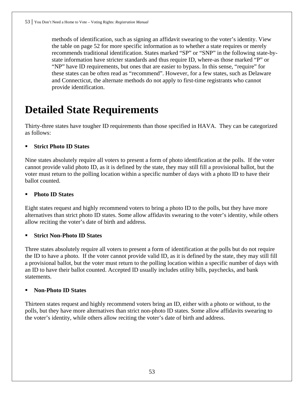methods of identification, such as signing an affidavit swearing to the voter's identity. View the table on page 52 for more specific information as to whether a state requires or merely recommends traditional identification. States marked "SP" or "SNP" in the following state-bystate information have stricter standards and thus require ID, where-as those marked "P" or "NP" have ID requirements, but ones that are easier to bypass. In this sense, "require" for these states can be often read as "recommend". However, for a few states, such as Delaware and Connecticut, the alternate methods do not apply to first-time registrants who cannot provide identification.

# **Detailed State Requirements**

Thirty-three states have tougher ID requirements than those specified in HAVA. They can be categorized as follows:

# **Strict Photo ID States**

Nine states absolutely require all voters to present a form of photo identification at the polls. If the voter cannot provide valid photo ID, as it is defined by the state, they may still fill a provisional ballot, but the voter must return to the polling location within a specific number of days with a photo ID to have their ballot counted.

# **Photo ID States**

Eight states request and highly recommend voters to bring a photo ID to the polls, but they have more alternatives than strict photo ID states. Some allow affidavits swearing to the voter's identity, while others allow reciting the voter's date of birth and address.

# **Strict Non-Photo ID States**

Three states absolutely require all voters to present a form of identification at the polls but do not require the ID to have a photo. If the voter cannot provide valid ID, as it is defined by the state, they may still fill a provisional ballot, but the voter must return to the polling location within a specific number of days with an ID to have their ballot counted. Accepted ID usually includes utility bills, paychecks, and bank statements.

# **Non-Photo ID States**

Thirteen states request and highly recommend voters bring an ID, either with a photo or without, to the polls, but they have more alternatives than strict non-photo ID states. Some allow affidavits swearing to the voter's identity, while others allow reciting the voter's date of birth and address.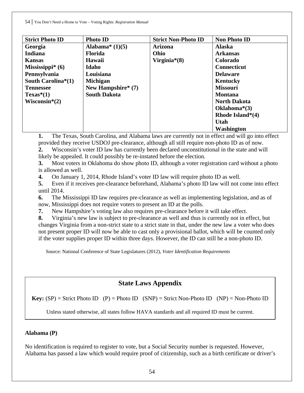| <b>Strict Photo ID</b>       | <b>Photo ID</b>      | <b>Strict Non-Photo ID</b> | <b>Non Photo ID</b> |
|------------------------------|----------------------|----------------------------|---------------------|
| Georgia                      | Alabama* $(1)(5)$    | <b>Arizona</b>             | <b>Alaska</b>       |
| <b>Indiana</b>               | <b>Florida</b>       | Ohio                       | <b>Arkansas</b>     |
| <b>Kansas</b>                | Hawaii               | Virginia $*(8)$            | Colorado            |
| Mississippi $*(6)$           | Idaho                |                            | <b>Connecticut</b>  |
| Pennsylvania                 | Louisiana            |                            | <b>Delaware</b>     |
| South Carolina $*(1)$        | <b>Michigan</b>      |                            | Kentucky            |
| <b>Tennessee</b>             | New Hampshire* $(7)$ |                            | <b>Missouri</b>     |
| $Texas*(1)$                  | <b>South Dakota</b>  |                            | <b>Montana</b>      |
| Wisconsin <sup>*</sup> $(2)$ |                      |                            | <b>North Dakota</b> |
|                              |                      |                            | Oklahoma $*(3)$     |
|                              |                      |                            | Rhode Island* $(4)$ |
|                              |                      |                            | <b>Utah</b>         |
|                              |                      |                            | <b>Washington</b>   |

**1.** The Texas, South Carolina, and Alabama laws are currently not in effect and will go into effect provided they receive USDOJ pre-clearance, although all still require non-photo ID as of now.

**2.** Wisconsin's voter ID law has currently been declared unconstitutional in the state and will likely be appealed. It could possibly be re-instated before the election.

**3.** Most voters in Oklahoma do show photo ID, although a voter registration card without a photo is allowed as well.

**4.** On January 1, 2014, Rhode Island's voter ID law will require photo ID as well.

**5.** Even if it receives pre-clearance beforehand, Alabama's photo ID law will not come into effect until 2014.

**6.** The Mississippi ID law requires pre-clearance as well as implementing legislation, and as of now, Mississippi does not require voters to present an ID at the polls.

**7.** New Hampshire's voting law also requires pre-clearance before it will take effect.

**8.** Virginia's new law is subject to pre-clearance as well and thus is currently not in effect, but changes Virginia from a non-strict state to a strict state in that, under the new law a voter who does not present proper ID will now be able to cast only a provisional ballot, which will be counted only if the voter supplies proper ID within three days. However, the ID can still be a non-photo ID.

Source: National Conference of State Legislatures (2012), *Voter Identification Requirements*

# **State Laws Appendix**

**Key:**  $(SP) =$  Strict Photo ID  $(P) =$  Photo ID  $(SNP) =$  Strict Non-Photo ID  $(NP) =$  Non-Photo ID

Unless stated otherwise, all states follow HAVA standards and all required ID must be current.

# **Alabama (P)**

No identification is required to register to vote, but a Social Security number is requested. However, Alabama has passed a law which would require proof of citizenship, such as a birth certificate or driver's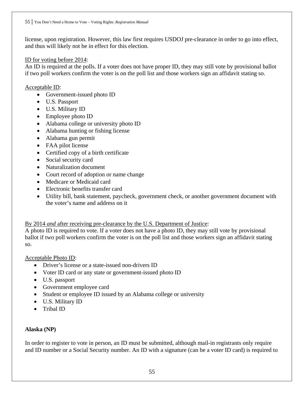license, upon registration. However, this law first requires USDOJ pre-clearance in order to go into effect, and thus will likely not be in effect for this election.

#### ID for voting before 2014:

An ID is required at the polls. If a voter does not have proper ID, they may still vote by provisional ballot if two poll workers confirm the voter is on the poll list and those workers sign an affidavit stating so.

Acceptable ID:

- Government-issued photo ID
- U.S. Passport
- U.S. Military ID
- Employee photo ID
- Alabama college or university photo ID
- Alabama hunting or fishing license
- Alabama gun permit
- FAA pilot license
- Certified copy of a birth certificate
- Social security card
- Naturalization document
- Court record of adoption or name change
- Medicare or Medicaid card
- Electronic benefits transfer card
- Utility bill, bank statement, paycheck, government check, or another government document with the voter's name and address on it

# By 2014 *and* after receiving pre-clearance by the U.S. Department of Justice:

A photo ID is required to vote. If a voter does not have a photo ID, they may still vote by provisional ballot if two poll workers confirm the voter is on the poll list and those workers sign an affidavit stating so.

# Acceptable Photo ID:

- Driver's license or a state-issued non-drivers ID
- Voter ID card or any state or government-issued photo ID
- U.S. passport
- Government employee card
- Student or employee ID issued by an Alabama college or university
- U.S. Military ID
- Tribal ID

# **Alaska (NP)**

In order to register to vote in person, an ID must be submitted, although mail-in registrants only require and ID number or a Social Security number. An ID with a signature (can be a voter ID card) is required to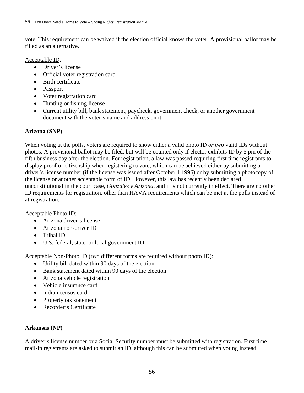vote. This requirement can be waived if the election official knows the voter. A provisional ballot may be filled as an alternative.

# Acceptable ID:

- Driver's license
- Official voter registration card
- Birth certificate
- Passport
- Voter registration card
- Hunting or fishing license
- Current utility bill, bank statement, paycheck, government check, or another government document with the voter's name and address on it

# **Arizona (SNP)**

When voting at the polls, voters are required to show either a valid photo ID *or* two valid IDs without photos. A provisional ballot may be filed, but will be counted only if elector exhibits ID by 5 pm of the fifth business day after the election. For registration, a law was passed requiring first time registrants to display proof of citizenship when registering to vote, which can be achieved either by submitting a driver's license number (if the license was issued after October 1 1996) or by submitting a photocopy of the license or another acceptable form of ID. However, this law has recently been declared unconstitutional in the court case, *Gonzalez v Arizona,* and it is not currently in effect. There are no other ID requirements for registration, other than HAVA requirements which can be met at the polls instead of at registration.

# Acceptable Photo ID:

- Arizona driver's license
- Arizona non-driver ID
- Tribal ID
- U.S. federal, state, or local government ID

Acceptable Non-Photo ID (two different forms are required without photo ID):

- Utility bill dated within 90 days of the election
- Bank statement dated within 90 days of the election
- Arizona vehicle registration
- Vehicle insurance card
- Indian census card
- Property tax statement
- Recorder's Certificate

# **Arkansas (NP)**

A driver's license number or a Social Security number must be submitted with registration. First time mail-in registrants are asked to submit an ID, although this can be submitted when voting instead.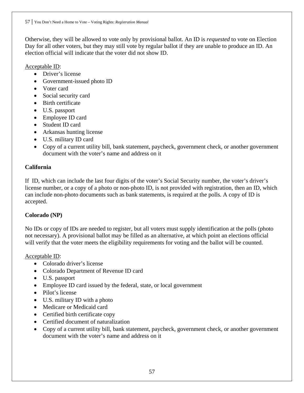Otherwise, they will be allowed to vote only by provisional ballot. An ID is *requested* to vote on Election Day for all other voters, but they may still vote by regular ballot if they are unable to produce an ID. An election official will indicate that the voter did not show ID.

Acceptable ID:

- Driver's license
- Government-issued photo ID
- Voter card
- Social security card
- Birth certificate
- U.S. passport
- Employee ID card
- Student ID card
- Arkansas hunting license
- U.S. military ID card
- Copy of a current utility bill, bank statement, paycheck, government check, or another government document with the voter's name and address on it

# **California**

If ID, which can include the last four digits of the voter's Social Security number, the voter's driver's license number, or a copy of a photo or non-photo ID, is not provided with registration, then an ID, which can include non-photo documents such as bank statements, is required at the polls. A copy of ID is accepted.

# **Colorado (NP)**

No IDs or copy of IDs are needed to register, but all voters must supply identification at the polls (photo not necessary). A provisional ballot may be filled as an alternative, at which point an elections official will verify that the voter meets the eligibility requirements for voting and the ballot will be counted.

Acceptable ID:

- Colorado driver's license
- Colorado Department of Revenue ID card
- U.S. passport
- Employee ID card issued by the federal, state, or local government
- Pilot's license
- U.S. military ID with a photo
- Medicare or Medicaid card
- Certified birth certificate copy
- Certified document of naturalization
- Copy of a current utility bill, bank statement, paycheck, government check, or another government document with the voter's name and address on it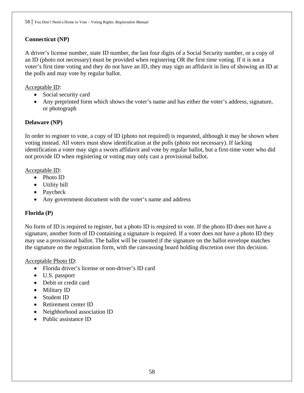# **Connecticut (NP)**

A driver's license number, state ID number, the last four digits of a Social Security number, or a copy of an ID (photo not necessary) must be provided when registering OR the first time voting. If it is not a voter's first time voting and they do not have an ID, they may sign an affidavit in lieu of showing an ID at the polls and may vote by regular ballot.

# Acceptable ID:

- Social security card
- Any preprinted form which shows the voter's name and has either the voter's address, signature, or photograph

# **Delaware (NP)**

In order to register to vote, a copy of ID (photo not required) is requested, although it may be shown when voting instead. All voters must show identification at the polls (photo not necessary). If lacking identification a voter may sign a sworn affidavit and vote by regular ballot, but a first-time voter who did not provide ID when registering or voting may only cast a provisional ballot.

# Acceptable ID:

- Photo ID
- Utility bill
- Paycheck
- Any government document with the voter's name and address

# **Florida (P)**

No form of ID is required to register, but a photo ID is required to vote. If the photo ID does not have a signature, another form of ID containing a signature is required. If a voter does not have a photo ID they may use a provisional ballot. The ballot will be counted if the signature on the ballot envelope matches the signature on the registration form, with the canvassing board holding discretion over this decision.

# Acceptable Photo ID:

- Florida driver's license or non-driver's ID card
- U.S. passport
- Debit or credit card
- Military ID
- Student ID
- Retirement center ID
- Neighborhood association ID
- Public assistance ID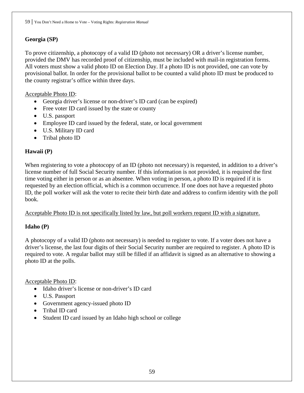# **Georgia (SP)**

To prove citizenship, a photocopy of a valid ID (photo not necessary) OR a driver's license number, provided the DMV has recorded proof of citizenship, must be included with mail-in registration forms. All voters must show a valid photo ID on Election Day. If a photo ID is not provided, one can vote by provisional ballot. In order for the provisional ballot to be counted a valid photo ID must be produced to the county registrar's office within three days.

# Acceptable Photo ID:

- Georgia driver's license or non-driver's ID card (can be expired)
- Free voter ID card issued by the state or county
- U.S. passport
- Employee ID card issued by the federal, state, or local government
- U.S. Military ID card
- Tribal photo ID

# **Hawaii (P)**

When registering to vote a photocopy of an ID (photo not necessary) is requested, in addition to a driver's license number of full Social Security number. If this information is not provided, it is required the first time voting either in person or as an absentee. When voting in person, a photo ID is required if it is requested by an election official, which is a common occurrence. If one does not have a requested photo ID, the poll worker will ask the voter to recite their birth date and address to confirm identity with the poll book.

Acceptable Photo ID is not specifically listed by law, but poll workers request ID with a signature.

# **Idaho (P)**

A photocopy of a valid ID (photo not necessary) is needed to register to vote. If a voter does not have a driver's license, the last four digits of their Social Security number are required to register. A photo ID is required to vote. A regular ballot may still be filled if an affidavit is signed as an alternative to showing a photo ID at the polls.

# Acceptable Photo ID:

- Idaho driver's license or non-driver's ID card
- U.S. Passport
- Government agency-issued photo ID
- Tribal ID card
- Student ID card issued by an Idaho high school or college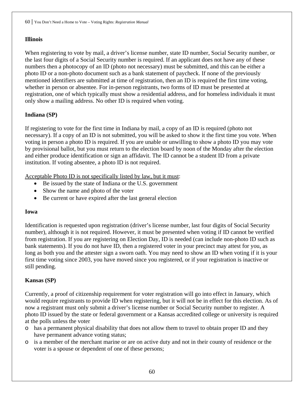# **Illinois**

When registering to vote by mail, a driver's license number, state ID number, Social Security number, or the last four digits of a Social Security number is required. If an applicant does not have any of these numbers then a photocopy of an ID (photo not necessary) must be submitted, and this can be either a photo ID or a non-photo document such as a bank statement of paycheck. If none of the previously mentioned identifiers are submitted at time of registration, then an ID is required the first time voting, whether in person or absentee. For in-person registrants, two forms of ID must be presented at registration, one of which typically must show a residential address, and for homeless individuals it must only show a mailing address. No other ID is required when voting.

# **Indiana (SP)**

If registering to vote for the first time in Indiana by mail, a copy of an ID is required (photo not necessary). If a copy of an ID is not submitted, you will be asked to show it the first time you vote. When voting in person a photo ID is required. If you are unable or unwilling to show a photo ID you may vote by provisional ballot, but you must return to the election board by noon of the Monday after the election and either produce identification or sign an affidavit. The ID cannot be a student ID from a private institution. If voting absentee, a photo ID is not required.

Acceptable Photo ID is not specifically listed by law, but it must:

- Be issued by the state of Indiana or the U.S. government
- Show the name and photo of the voter
- Be current or have expired after the last general election

# **Iowa**

Identification is requested upon registration (driver's license number, last four digits of Social Security number), although it is not required. However, it must be presented when voting if ID cannot be verified from registration. If you are registering on Election Day, ID is needed (can include non-photo ID such as bank statements). If you do not have ID, then a registered voter in your precinct may attest for you, as long as both you and the attester sign a sworn oath. You may need to show an ID when voting if it is your first time voting since 2003, you have moved since you registered, or if your registration is inactive or still pending.

# **Kansas (SP)**

Currently, a proof of citizenship requirement for voter registration will go into effect in January, which would require registrants to provide ID when registering, but it will not be in effect for this election. As of now a registrant must only submit a driver's license number or Social Security number to register. A photo ID issued by the state or federal government or a Kansas accredited college or university is required at the polls unless the voter

- o has a permanent physical disability that does not allow them to travel to obtain proper ID and they have permanent advance voting status;
- o is a member of the merchant marine or are on active duty and not in their county of residence or the voter is a spouse or dependent of one of these persons;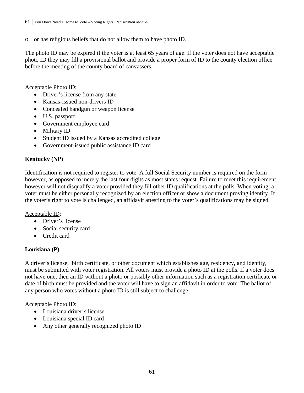o or has religious beliefs that do not allow them to have photo ID.

The photo ID may be expired if the voter is at least 65 years of age. If the voter does not have acceptable photo ID they may fill a provisional ballot and provide a proper form of ID to the county election office before the meeting of the county board of canvassers.

Acceptable Photo ID:

- Driver's license from any state
- Kansas-issued non-drivers ID
- Concealed handgun or weapon license
- U.S. passport
- Government employee card
- Military ID
- Student ID issued by a Kansas accredited college
- Government-issued public assistance ID card

# **Kentucky (NP)**

Identification is not required to register to vote. A full Social Security number is required on the form however, as opposed to merely the last four digits as most states request. Failure to meet this requirement however will not disqualify a voter provided they fill other ID qualifications at the polls. When voting, a voter must be either personally recognized by an election officer or show a document proving identity. If the voter's right to vote is challenged, an affidavit attesting to the voter's qualifications may be signed.

# Acceptable ID:

- Driver's license
- Social security card
- Credit card

# **Louisiana (P)**

A driver's license, birth certificate, or other document which establishes age, residency, and identity, must be submitted with voter registration. All voters must provide a photo ID at the polls. If a voter does not have one, then an ID without a photo or possibly other information such as a registration certificate or date of birth must be provided and the voter will have to sign an affidavit in order to vote. The ballot of any person who votes without a photo ID is still subject to challenge.

# Acceptable Photo ID:

- Louisiana driver's license
- Louisiana special ID card
- Any other generally recognized photo ID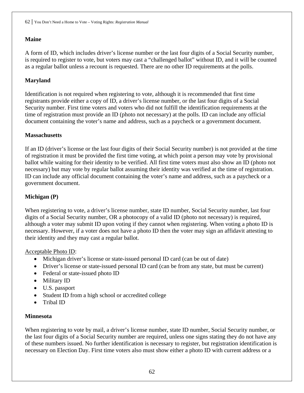# **Maine**

A form of ID, which includes driver's license number or the last four digits of a Social Security number, is required to register to vote, but voters may cast a "challenged ballot" without ID, and it will be counted as a regular ballot unless a recount is requested. There are no other ID requirements at the polls.

# **Maryland**

Identification is not required when registering to vote, although it is recommended that first time registrants provide either a copy of ID, a driver's license number, or the last four digits of a Social Security number. First time voters and voters who did not fulfill the identification requirements at the time of registration must provide an ID (photo not necessary) at the polls. ID can include any official document containing the voter's name and address, such as a paycheck or a government document.

# **Massachusetts**

If an ID (driver's license or the last four digits of their Social Security number) is not provided at the time of registration it must be provided the first time voting, at which point a person may vote by provisional ballot while waiting for their identity to be verified. All first time voters must also show an ID (photo not necessary) but may vote by regular ballot assuming their identity was verified at the time of registration. ID can include any official document containing the voter's name and address, such as a paycheck or a government document.

# **Michigan (P)**

When registering to vote, a driver's license number, state ID number, Social Security number, last four digits of a Social Security number, OR a photocopy of a valid ID (photo not necessary) is required, although a voter may submit ID upon voting if they cannot when registering. When voting a photo ID is necessary. However, if a voter does not have a photo ID then the voter may sign an affidavit attesting to their identity and they may cast a regular ballot.

Acceptable Photo ID:

- Michigan driver's license or state-issued personal ID card (can be out of date)
- Driver's license or state-issued personal ID card (can be from any state, but must be current)
- Federal or state-issued photo ID
- Military ID
- U.S. passport
- Student ID from a high school or accredited college
- Tribal ID

# **Minnesota**

When registering to vote by mail, a driver's license number, state ID number, Social Security number, or the last four digits of a Social Security number are required, unless one signs stating they do not have any of these numbers issued. No further identification is necessary to register, but registration identification is necessary on Election Day. First time voters also must show either a photo ID with current address or a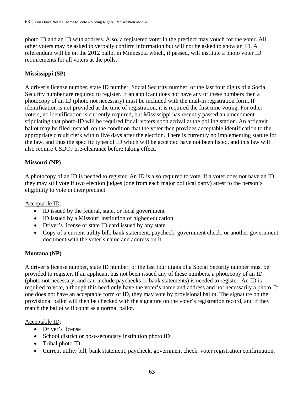photo ID and an ID with address. Also, a registered voter in the precinct may vouch for the voter. All other voters may be asked to verbally confirm information but will not be asked to show an ID. A referendum will be on the 2012 ballot in Minnesota which, if passed, will institute a photo voter ID requirements for all voters at the polls.

# **Mississippi (SP)**

A driver's license number, state ID number, Social Security number, or the last four digits of a Social Security number are required to register. If an applicant does not have any of these numbers then a photocopy of an ID (photo not necessary) must be included with the mail-in registration form. If identification is not provided at the time of registration, it is required the first time voting. For other voters, no identification is currently required, but Mississippi has recently passed an amendment stipulating that photo-ID will be required for all voters upon arrival at the polling station. An affidavit ballot may be filed instead, on the condition that the voter then provides acceptable identification to the appropriate circuit clerk within five days after the election. There is currently no implementing statute for the law, and thus the specific types of ID which will be accepted have not been listed, and this law will also require USDOJ pre-clearance before taking effect.

# **Missouri (NP)**

A photocopy of an ID is needed to register. An ID is also required to vote. If a voter does not have an ID they may still vote if two election judges (one from each major political party) attest to the person's eligibility to vote in their precinct.

# Acceptable ID:

- ID issued by the federal, state, or local government
- ID issued by a Missouri institution of higher education
- Driver's license or state ID card issued by any state
- Copy of a current utility bill, bank statement, paycheck, government check, or another government document with the voter's name and address on it

# **Montana (NP)**

A driver's license number, state ID number, or the last four digits of a Social Security number must be provided to register. If an applicant has not been issued any of these numbers, a photocopy of an ID (photo not necessary, and can include paychecks or bank statements) is needed to register. An ID is required to vote, although this need only have the voter's name and address and not necessarily a photo. If one does not have an acceptable form of ID, they may vote by provisional ballot. The signature on the provisional ballot will then be checked with the signature on the voter's registration record, and if they match the ballot will count as a normal ballot.

# Acceptable ID:

- Driver's license
- School district or post-secondary institution photo ID
- Tribal photo ID
- Current utility bill, bank statement, paycheck, government check, voter registration confirmation,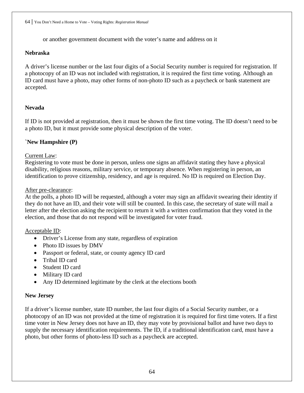or another government document with the voter's name and address on it

#### **Nebraska**

A driver's license number or the last four digits of a Social Security number is required for registration. If a photocopy of an ID was not included with registration, it is required the first time voting. Although an ID card must have a photo, may other forms of non-photo ID such as a paycheck or bank statement are accepted.

# **Nevada**

If ID is not provided at registration, then it must be shown the first time voting. The ID doesn't need to be a photo ID, but it must provide some physical description of the voter.

#### **`New Hampshire (P)**

#### Current Law:

Registering to vote must be done in person, unless one signs an affidavit stating they have a physical disability, religious reasons, military service, or temporary absence. When registering in person, an identification to prove citizenship, residency, and age is required. No ID is required on Election Day.

#### After pre-clearance:

At the polls, a photo ID will be requested, although a voter may sign an affidavit swearing their identity if they do not have an ID, and their vote will still be counted. In this case, the secretary of state will mail a letter after the election asking the recipient to return it with a written confirmation that they voted in the election, and those that do not respond will be investigated for voter fraud.

#### Acceptable ID:

- Driver's License from any state, regardless of expiration
- Photo ID issues by DMV
- Passport or federal, state, or county agency ID card
- Tribal ID card
- Student ID card
- Military ID card
- Any ID determined legitimate by the clerk at the elections booth

#### **New Jersey**

If a driver's license number, state ID number, the last four digits of a Social Security number, or a photocopy of an ID was not provided at the time of registration it is required for first time voters. If a first time voter in New Jersey does not have an ID, they may vote by provisional ballot and have two days to supply the necessary identification requirements. The ID, if a traditional identification card, must have a photo, but other forms of photo-less ID such as a paycheck are accepted.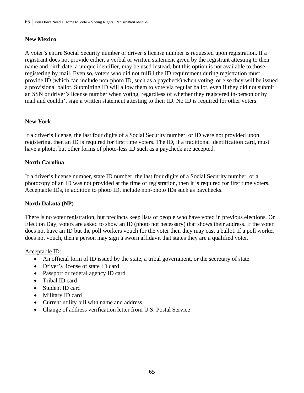# **New Mexico**

A voter's entire Social Security number or driver's license number is requested upon registration. If a registrant does not provide either, a verbal or written statement given by the registrant attesting to their name and birth date, a unique identifier, may be used instead, but this option is not available to those registering by mail. Even so, voters who did not fulfill the ID requirement during registration must provide ID (which can include non-photo ID, such as a paycheck) when voting, or else they will be issued a provisional ballot. Submitting ID will allow them to vote via regular ballot, even if they did not submit an SSN or driver's license number when voting, regardless of whether they registered in-person or by mail and couldn't sign a written statement attesting to their ID. No ID is required for other voters.

# **New York**

If a driver's license, the last four digits of a Social Security number, or ID were not provided upon registering, then an ID is required for first time voters. The ID, if a traditional identification card, must have a photo, but other forms of photo-less ID such as a paycheck are accepted.

# **North Carolina**

If a driver's license number, state ID number, the last four digits of a Social Security number, or a photocopy of an ID was not provided at the time of registration, then it is required for first time voters. Acceptable IDs, in addition to photo ID, include non-photo IDs such as paychecks.

# **North Dakota (NP)**

There is no voter registration, but precincts keep lists of people who have voted in previous elections. On Election Day, voters are asked to show an ID (photo not necessary) that shows their address. If the voter does not have an ID but the poll workers vouch for the voter then they may cast a ballot. If a poll worker does not vouch, then a person may sign a sworn affidavit that states they are a qualified voter.

# Acceptable ID:

- An official form of ID issued by the state, a tribal government, or the secretary of state.
- Driver's license of state ID card
- Passport or federal agency ID card
- Tribal ID card
- Student ID card
- Military ID card
- Current utility bill with name and address
- Change of address verification letter from U.S. Postal Service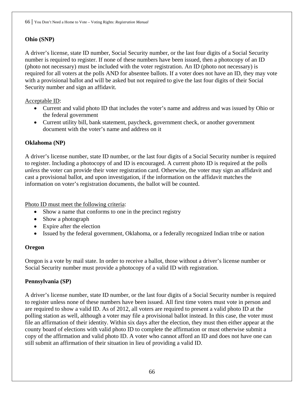# **Ohio (SNP)**

A driver's license, state ID number, Social Security number, or the last four digits of a Social Security number is required to register. If none of these numbers have been issued, then a photocopy of an ID (photo not necessary) must be included with the voter registration. An ID (photo not necessary) is required for all voters at the polls AND for absentee ballots. If a voter does not have an ID, they may vote with a provisional ballot and will be asked but not required to give the last four digits of their Social Security number and sign an affidavit.

#### Acceptable ID:

- Current and valid photo ID that includes the voter's name and address and was issued by Ohio or the federal government
- Current utility bill, bank statement, paycheck, government check, or another government document with the voter's name and address on it

#### **Oklahoma (NP)**

A driver's license number, state ID number, or the last four digits of a Social Security number is required to register. Including a photocopy of and ID is encouraged. A current photo ID is required at the polls *unless* the voter can provide their voter registration card. Otherwise, the voter may sign an affidavit and cast a provisional ballot, and upon investigation, if the information on the affidavit matches the information on voter's registration documents, the ballot will be counted.

Photo ID must meet the following criteria:

- Show a name that conforms to one in the precinct registry
- Show a photograph
- Expire after the election
- Issued by the federal government, Oklahoma, or a federally recognized Indian tribe or nation

#### **Oregon**

Oregon is a vote by mail state. In order to receive a ballot, those without a driver's license number or Social Security number must provide a photocopy of a valid ID with registration.

# **Pennsylvania (SP)**

A driver's license number, state ID number, or the last four digits of a Social Security number is required to register unless none of these numbers have been issued. All first time voters must vote in person and are required to show a valid ID. As of 2012, all voters are required to present a valid photo ID at the polling station as well, although a voter may file a provisional ballot instead. In this case, the voter must file an affirmation of their identity. Within six days after the election, they must then either appear at the county board of elections with valid photo ID to complete the affirmation or must otherwise submit a copy of the affirmation and valid photo ID. A voter who cannot afford an ID and does not have one can still submit an affirmation of their situation in lieu of providing a valid ID.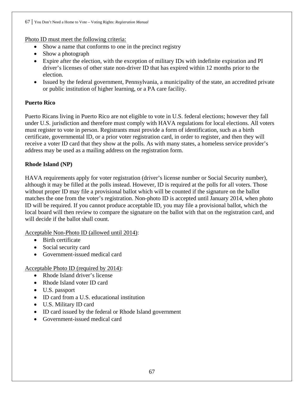Photo ID must meet the following criteria:

- Show a name that conforms to one in the precinct registry
- Show a photograph
- Expire after the election, with the exception of military IDs with indefinite expiration and PI driver's licenses of other state non-driver ID that has expired within 12 months prior to the election.
- Issued by the federal government, Pennsylvania, a municipality of the state, an accredited private or public institution of higher learning, or a PA care facility.

# **Puerto Rico**

Puerto Ricans living in Puerto Rico are not eligible to vote in U.S. federal elections; however they fall under U.S. jurisdiction and therefore must comply with HAVA regulations for local elections. All voters must register to vote in person. Registrants must provide a form of identification, such as a birth certificate, governmental ID, or a prior voter registration card, in order to register, and then they will receive a voter ID card that they show at the polls. As with many states, a homeless service provider's address may be used as a mailing address on the registration form.

# **Rhode Island (NP)**

HAVA requirements apply for voter registration (driver's license number or Social Security number), although it may be filled at the polls instead. However, ID is required at the polls for all voters. Those without proper ID may file a provisional ballot which will be counted if the signature on the ballot matches the one from the voter's registration. Non-photo ID is accepted until January 2014, when photo ID will be required. If you cannot produce acceptable ID, you may file a provisional ballot, which the local board will then review to compare the signature on the ballot with that on the registration card, and will decide if the ballot shall count.

Acceptable Non-Photo ID (allowed until 2014):

- Birth certificate
- Social security card
- Government-issued medical card

# Acceptable Photo ID (required by 2014):

- Rhode Island driver's license
- Rhode Island voter ID card
- U.S. passport
- ID card from a U.S. educational institution
- U.S. Military ID card
- ID card issued by the federal or Rhode Island government
- Government-issued medical card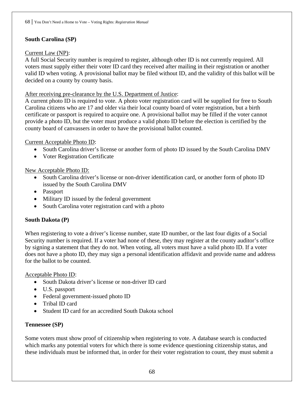# **South Carolina (SP)**

#### Current Law (NP):

A full Social Security number is required to register, although other ID is not currently required. All voters must supply either their voter ID card they received after mailing in their registration or another valid ID when voting. A provisional ballot may be filed without ID, and the validity of this ballot will be decided on a county by county basis.

#### After receiving pre-clearance by the U.S. Department of Justice:

A current photo ID is required to vote. A photo voter registration card will be supplied for free to South Carolina citizens who are 17 and older via their local county board of voter registration, but a birth certificate or passport is required to acquire one. A provisional ballot may be filled if the voter cannot provide a photo ID, but the voter must produce a valid photo ID before the election is certified by the county board of canvassers in order to have the provisional ballot counted.

#### Current Acceptable Photo ID:

- South Carolina driver's license or another form of photo ID issued by the South Carolina DMV
- Voter Registration Certificate

#### New Acceptable Photo ID:

- South Carolina driver's license or non-driver identification card, or another form of photo ID issued by the South Carolina DMV
- Passport
- Military ID issued by the federal government
- South Carolina voter registration card with a photo

# **South Dakota (P)**

When registering to vote a driver's license number, state ID number, or the last four digits of a Social Security number is required. If a voter had none of these, they may register at the county auditor's office by signing a statement that they do not. When voting, all voters must have a valid photo ID. If a voter does not have a photo ID, they may sign a personal identification affidavit and provide name and address for the ballot to be counted.

#### Acceptable Photo ID:

- South Dakota driver's license or non-driver ID card
- U.S. passport
- Federal government-issued photo ID
- Tribal ID card
- Student ID card for an accredited South Dakota school

# **Tennessee (SP)**

Some voters must show proof of citizenship when registering to vote. A database search is conducted which marks any potential voters for which there is some evidence questioning citizenship status, and these individuals must be informed that, in order for their voter registration to count, they must submit a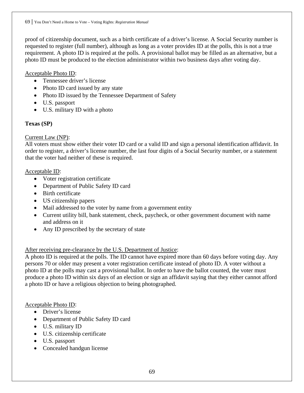proof of citizenship document, such as a birth certificate of a driver's license. A Social Security number is requested to register (full number), although as long as a voter provides ID at the polls, this is not a true requirement. A photo ID is required at the polls. A provisional ballot may be filled as an alternative, but a photo ID must be produced to the election administrator within two business days after voting day.

# Acceptable Photo ID:

- Tennessee driver's license
- Photo ID card issued by any state
- Photo ID issued by the Tennessee Department of Safety
- U.S. passport
- U.S. military ID with a photo

# **Texas (SP)**

# Current Law (NP):

All voters must show either their voter ID card or a valid ID and sign a personal identification affidavit. In order to register, a driver's license number, the last four digits of a Social Security number, or a statement that the voter had neither of these is required.

# Acceptable ID:

- Voter registration certificate
- Department of Public Safety ID card
- Birth certificate
- US citizenship papers
- Mail addressed to the voter by name from a government entity
- Current utility bill, bank statement, check, paycheck, or other government document with name and address on it
- Any ID prescribed by the secretary of state

# After receiving pre-clearance by the U.S. Department of Justice:

A photo ID is required at the polls. The ID cannot have expired more than 60 days before voting day. Any persons 70 or older may present a voter registration certificate instead of photo ID. A voter without a photo ID at the polls may cast a provisional ballot. In order to have the ballot counted, the voter must produce a photo ID within six days of an election or sign an affidavit saying that they either cannot afford a photo ID or have a religious objection to being photographed.

# Acceptable Photo ID:

- Driver's license
- Department of Public Safety ID card
- U.S. military ID
- U.S. citizenship certificate
- U.S. passport
- Concealed handgun license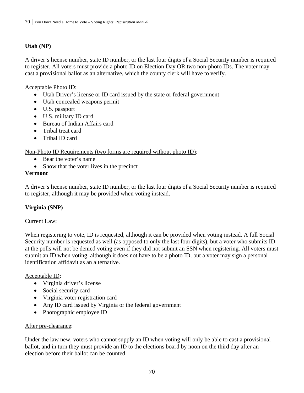# **Utah (NP)**

A driver's license number, state ID number, or the last four digits of a Social Security number is required to register. All voters must provide a photo ID on Election Day OR two non-photo IDs. The voter may cast a provisional ballot as an alternative, which the county clerk will have to verify.

#### Acceptable Photo ID:

- Utah Driver's license or ID card issued by the state or federal government
- Utah concealed weapons permit
- U.S. passport
- U.S. military ID card
- Bureau of Indian Affairs card
- Tribal treat card
- Tribal ID card

# Non-Photo ID Requirements (two forms are required without photo ID):

- Bear the voter's name
- Show that the voter lives in the precinct

#### **Vermont**

A driver's license number, state ID number, or the last four digits of a Social Security number is required to register, although it may be provided when voting instead.

# **Virginia (SNP)**

# Current Law:

When registering to vote, ID is requested, although it can be provided when voting instead. A full Social Security number is requested as well (as opposed to only the last four digits), but a voter who submits ID at the polls will not be denied voting even if they did not submit an SSN when registering. All voters must submit an ID when voting, although it does not have to be a photo ID, but a voter may sign a personal identification affidavit as an alternative.

# Acceptable ID:

- Virginia driver's license
- Social security card
- Virginia voter registration card
- Any ID card issued by Virginia or the federal government
- Photographic employee ID

# After pre-clearance:

Under the law new, voters who cannot supply an ID when voting will only be able to cast a provisional ballot, and in turn they must provide an ID to the elections board by noon on the third day after an election before their ballot can be counted.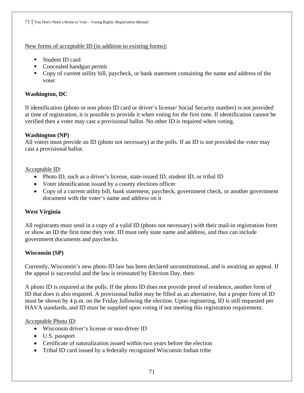#### New forms of acceptable ID (in addition to existing forms):

- Student ID card
- Concealed handgun permit
- Copy of current utility bill, paycheck, or bank statement containing the name and address of the voter

# **Washington, DC**

If identification (photo or non photo ID card or driver's license/ Social Security number) is not provided at time of registration, it is possible to provide it when voting for the first time. If identification cannot be verified then a voter may cast a provisional ballot. No other ID is required when voting.

# **Washington (NP)**

All voters must provide an ID (photo not necessary) at the polls. If an ID is not provided the voter may cast a provisional ballot.

# Acceptable ID:

- Photo ID, such as a driver's license, state-issued ID, student ID, or tribal ID
- Voter identification issued by a county elections officer
- Copy of a current utility bill, bank statement, paycheck, government check, or another government document with the voter's name and address on it

# **West Virginia**

All registrants must send in a copy of a valid ID (photo not necessary) with their mail-in registration form or show an ID the first time they vote. ID must only state name and address, and thus can include government documents and paychecks.

# **Wisconsin (SP)**

Currently, Wisconsin's new photo ID law has been declared unconstitutional, and is awaiting an appeal. If the appeal is successful and the law is reinstated by Election Day, then:

A photo ID is required at the polls. If the photo ID does not provide proof of residence, another form of ID that does is also required. A provisional ballot may be filled as an alternative, but a proper form of ID must be shown by 4 p.m. on the Friday following the election. Upon registering, ID is still requested per HAVA standards, and ID must be supplied upon voting if not meeting this registration requirement.

# Acceptable Photo ID:

- Wisconsin driver's license or non-driver ID
- U.S. passport
- Certificate of naturalization issued within two years before the election
- Tribal ID card issued by a federally recognized Wisconsin Indian tribe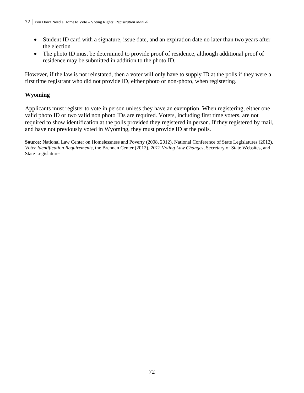- Student ID card with a signature, issue date, and an expiration date no later than two years after the election
- The photo ID must be determined to provide proof of residence, although additional proof of residence may be submitted in addition to the photo ID.

However, if the law is not reinstated, then a voter will only have to supply ID at the polls if they were a first time registrant who did not provide ID, either photo or non-photo, when registering.

# **Wyoming**

Applicants must register to vote in person unless they have an exemption. When registering, either one valid photo ID or two valid non photo IDs are required. Voters, including first time voters, are not required to show identification at the polls provided they registered in person. If they registered by mail, and have not previously voted in Wyoming, they must provide ID at the polls.

**Source:** National Law Center on Homelessness and Poverty (2008, 2012), National Conference of State Legislatures (2012), *Voter Identification Requirements,* the Brennan Center (2012), *2012 Voting Law Changes,* Secretary of State Websites, and State Legislatures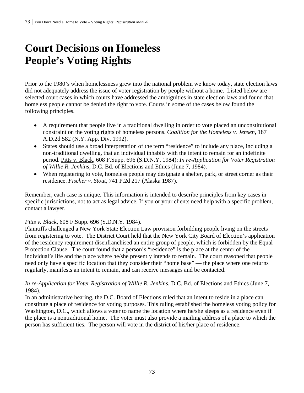# **Court Decisions on Homeless People's Voting Rights**

Prior to the 1980's when homelessness grew into the national problem we know today, state election laws did not adequately address the issue of voter registration by people without a home. Listed below are selected court cases in which courts have addressed the ambiguities in state election laws and found that homeless people cannot be denied the right to vote. Courts in some of the cases below found the following principles.

- A requirement that people live in a traditional dwelling in order to vote placed an unconstitutional constraint on the voting rights of homeless persons. *Coalition for the Homeless v. Jensen*, 187 A.D.2d 582 (N.Y. App. Div. 1992).
- States should use a broad interpretation of the term "residence" to include any place, including a non-traditional dwelling, that an individual inhabits with the intent to remain for an indefinite period. Pitts v. Black, 608 F.Supp. 696 (S.D.N.Y. 1984); *In re-Application for Voter Registration of Willie R. Jenkins*, D.C. Bd. of Elections and Ethics (June 7, 1984).
- When registering to vote, homeless people may designate a shelter, park, or street corner as their residence. *Fischer v. Stout*, 741 P.2d 217 (Alaska 1987).

Remember, each case is unique. This information is intended to describe principles from key cases in specific jurisdictions, not to act as legal advice. If you or your clients need help with a specific problem, contact a lawyer.

### *Pitts v. Black*, 608 F.Supp. 696 (S.D.N.Y. 1984).

Plaintiffs challenged a New York State Election Law provision forbidding people living on the streets from registering to vote. The District Court held that the New York City Board of Election's application of the residency requirement disenfranchised an entire group of people, which is forbidden by the Equal Protection Clause. The court found that a person's "residence" is the place at the center of the individual's life and the place where he/she presently intends to remain. The court reasoned that people need only have a specific location that they consider their "home base" — the place where one returns regularly, manifests an intent to remain, and can receive messages and be contacted.

### *In re-Application for Voter Registration of Willie R. Jenkins*, D.C. Bd. of Elections and Ethics (June 7, 1984).

In an administrative hearing, the D.C. Board of Elections ruled that an intent to reside in a place can constitute a place of residence for voting purposes. This ruling established the homeless voting policy for Washington, D.C., which allows a voter to name the location where he/she sleeps as a residence even if the place is a nontraditional home. The voter must also provide a mailing address of a place to which the person has sufficient ties. The person will vote in the district of his/her place of residence.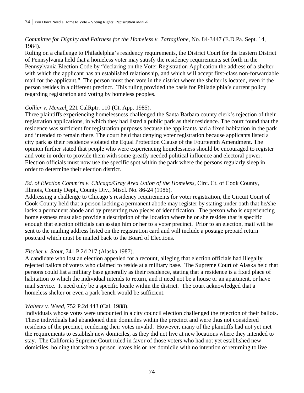## *Committee for Dignity and Fairness for the Homeless v. Tartaglione*, No. 84-3447 (E.D.Pa. Sept. 14, 1984).

Ruling on a challenge to Philadelphia's residency requirements, the District Court for the Eastern District of Pennsylvania held that a homeless voter may satisfy the residency requirements set forth in the Pennsylvania Election Code by "declaring on the Voter Registration Application the address of a shelter with which the applicant has an established relationship, and which will accept first-class non-forwardable mail for the applicant." The person must then vote in the district where the shelter is located, even if the person resides in a different precinct. This ruling provided the basis for Philadelphia's current policy regarding registration and voting by homeless peoples.

### *Collier v. Menzel*, 221 CalRptr. 110 (Ct. App. 1985).

Three plaintiffs experiencing homelessness challenged the Santa Barbara county clerk's rejection of their registration applications, in which they had listed a public park as their residence. The court found that the residence was sufficient for registration purposes because the applicants had a fixed habitation in the park and intended to remain there. The court held that denying voter registration because applicants listed a city park as their residence violated the Equal Protection Clause of the Fourteenth Amendment. The opinion further stated that people who were experiencing homelessness should be encouraged to register and vote in order to provide them with some greatly needed political influence and electoral power. Election officials must now use the specific spot within the park where the persons regularly sleep in order to determine their election district.

### *Bd. of Election Comm'rs v. Chicago/Gray Area Union of the Homeless*, Circ. Ct. of Cook County, Illinois, County Dept., County Div., Miscl. No. 86-24 (1986).

Addressing a challenge to Chicago's residency requirements for voter registration, the Circuit Court of Cook County held that a person lacking a permanent abode may register by stating under oath that he/she lacks a permanent abode and by presenting two pieces of identification. The person who is experiencing homelessness must also provide a description of the location where he or she resides that is specific enough that election officials can assign him or her to a voter precinct. Prior to an election, mail will be sent to the mailing address listed on the registration card and will include a postage prepaid return postcard which must be mailed back to the Board of Elections.

### *Fischer v. Stout*, 741 P.2d 217 (Alaska 1987).

A candidate who lost an election appealed for a recount, alleging that election officials had illegally rejected ballots of voters who claimed to reside at a military base. The Supreme Court of Alaska held that persons could list a military base generally as their residence, stating that a residence is a fixed place of habitation to which the individual intends to return, and it need not be a house or an apartment, or have mail service. It need only be a specific locale within the district. The court acknowledged that a homeless shelter or even a park bench would be sufficient.

#### *Walters v. Weed*, 752 P.2d 443 (Cal. 1988).

Individuals whose votes were uncounted in a city council election challenged the rejection of their ballots. These individuals had abandoned their domiciles within the precinct and were thus not considered residents of the precinct, rendering their votes invalid. However, many of the plaintiffs had not yet met the requirements to establish new domiciles, as they did not live at new locations where they intended to stay. The California Supreme Court ruled in favor of those voters who had not yet established new domiciles, holding that when a person leaves his or her domicile with no intention of returning to live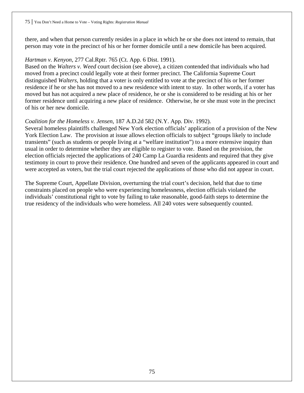there, and when that person currently resides in a place in which he or she does not intend to remain, that person may vote in the precinct of his or her former domicile until a new domicile has been acquired.

### *Hartman v. Kenyon*, 277 Cal.Rptr. 765 (Ct. App. 6 Dist. 1991).

Based on the *Walters v. Weed* court decision (see above), a citizen contended that individuals who had moved from a precinct could legally vote at their former precinct. The California Supreme Court distinguished *Walters*, holding that a voter is only entitled to vote at the precinct of his or her former residence if he or she has not moved to a new residence with intent to stay. In other words, if a voter has moved but has not acquired a new place of residence, he or she is considered to be residing at his or her former residence until acquiring a new place of residence. Otherwise, he or she must vote in the precinct of his or her new domicile.

## *Coalition for the Homeless v. Jensen*, 187 A.D.2d 582 (N.Y. App. Div. 1992).

Several homeless plaintiffs challenged New York election officials' application of a provision of the New York Election Law. The provision at issue allows election officials to subject "groups likely to include transients" (such as students or people living at a "welfare institution") to a more extensive inquiry than usual in order to determine whether they are eligible to register to vote. Based on the provision, the election officials rejected the applications of 240 Camp La Guardia residents and required that they give testimony in court to prove their residence. One hundred and seven of the applicants appeared in court and were accepted as voters, but the trial court rejected the applications of those who did not appear in court.

The Supreme Court, Appellate Division, overturning the trial court's decision, held that due to time constraints placed on people who were experiencing homelessness, election officials violated the individuals' constitutional right to vote by failing to take reasonable, good-faith steps to determine the true residency of the individuals who were homeless. All 240 votes were subsequently counted.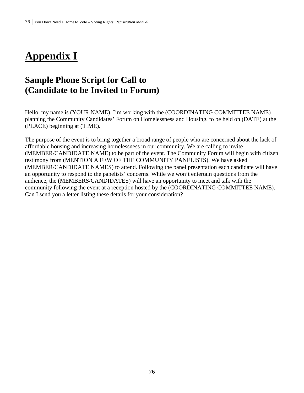# **Appendix I**

## **Sample Phone Script for Call to (Candidate to be Invited to Forum)**

Hello, my name is (YOUR NAME). I'm working with the (COORDINATING COMMITTEE NAME) planning the Community Candidates' Forum on Homelessness and Housing, to be held on (DATE) at the (PLACE) beginning at (TIME).

The purpose of the event is to bring together a broad range of people who are concerned about the lack of affordable housing and increasing homelessness in our community. We are calling to invite (MEMBER/CANDIDATE NAME) to be part of the event. The Community Forum will begin with citizen testimony from (MENTION A FEW OF THE COMMUNITY PANELISTS). We have asked (MEMBER/CANDIDATE NAMES) to attend. Following the panel presentation each candidate will have an opportunity to respond to the panelists' concerns. While we won't entertain questions from the audience, the (MEMBERS/CANDIDATES) will have an opportunity to meet and talk with the community following the event at a reception hosted by the (COORDINATING COMMITTEE NAME). Can I send you a letter listing these details for your consideration?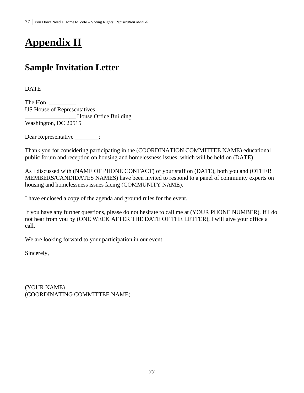# **Appendix II**

# **Sample Invitation Letter**

DATE

The Hon. US House of Representatives \_\_\_\_\_\_\_\_\_\_\_\_\_\_\_\_\_ House Office Building Washington, DC 20515

Dear Representative \_\_\_\_\_\_\_:

Thank you for considering participating in the (COORDINATION COMMITTEE NAME) educational public forum and reception on housing and homelessness issues, which will be held on (DATE).

As I discussed with (NAME OF PHONE CONTACT) of your staff on (DATE), both you and (OTHER MEMBERS/CANDIDATES NAMES) have been invited to respond to a panel of community experts on housing and homelessness issues facing (COMMUNITY NAME).

I have enclosed a copy of the agenda and ground rules for the event.

If you have any further questions, please do not hesitate to call me at (YOUR PHONE NUMBER). If I do not hear from you by (ONE WEEK AFTER THE DATE OF THE LETTER), I will give your office a call.

We are looking forward to your participation in our event.

Sincerely,

(YOUR NAME) (COORDINATING COMMITTEE NAME)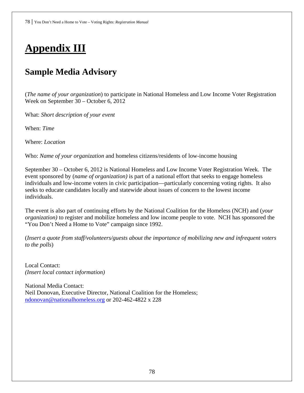# **Appendix III**

# **Sample Media Advisory**

(*The name of your organization*) to participate in National Homeless and Low Income Voter Registration Week on September 30 – October 6, 2012

What: *Short description of your event*

When: *Time*

Where: *Location*

Who: *Name of your organization* and homeless citizens/residents of low-income housing

September 30 – October 6, 2012 is National Homeless and Low Income Voter Registration Week. The event sponsored by (*name of organization)* is part of a national effort that seeks to engage homeless individuals and low-income voters in civic participation—particularly concerning voting rights. It also seeks to educate candidates locally and statewide about issues of concern to the lowest income individuals.

The event is also part of continuing efforts by the National Coalition for the Homeless (NCH) and (*your organization)* to register and mobilize homeless and low income people to vote. NCH has sponsored the "You Don't Need a Home to Vote" campaign since 1992.

(*Insert a quote from staff/volunteers/guests about the importance of mobilizing new and infrequent voters to the polls*)

Local Contact: *(Insert local contact information)* 

National Media Contact: Neil Donovan, Executive Director, National Coalition for the Homeless; [ndonovan@nationalhomeless.org](mailto:ndonovan@nationalhomeless.org) or 202-462-4822 x 228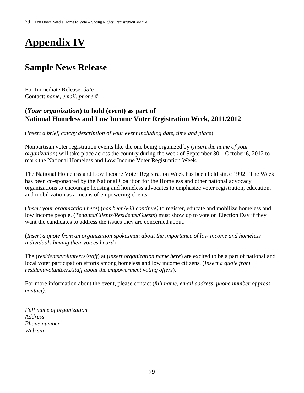# **Appendix IV**

## **Sample News Release**

For Immediate Release: *date* Contact: *name, email, phone #*

## **(***Your organization***) to hold (***event***) as part of National Homeless and Low Income Voter Registration Week, 2011/2012**

(*Insert a brief, catchy description of your event including date, time and place*).

Nonpartisan voter registration events like the one being organized by (*insert the name of your organization*) will take place across the country during the week of September 30 – October 6, 2012 to mark the National Homeless and Low Income Voter Registration Week.

The National Homeless and Low Income Voter Registration Week has been held since 1992. The Week has been co-sponsored by the National Coalition for the Homeless and other national advocacy organizations to encourage housing and homeless advocates to emphasize voter registration, education, and mobilization as a means of empowering clients.

(*Insert your organization here*) (*has been/will continue)* to register*,* educate and mobilize homeless and low income people. (*Tenants/Clients/Residents/Guests*) must show up to vote on Election Day if they want the candidates to address the issues they are concerned about.

(*Insert a quote from an organization spokesman about the importance of low income and homeless individuals having their voices heard*)

The (*residents/volunteers/staff*) at (*insert organization name here*) are excited to be a part of national and local voter participation efforts among homeless and low income citizens. (*Insert a quote from resident/volunteers/staff about the empowerment voting offers*).

For more information about the event, please contact (*full name, email address, phone number of press contact)*.

*Full name of organization Address Phone number Web site*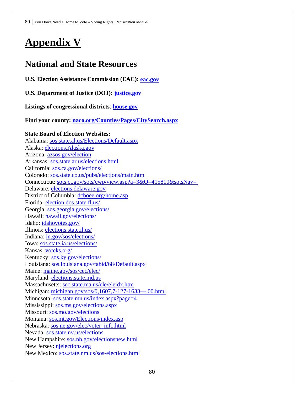# **Appendix V**

## **National and State Resources**

**U.S. Election Assistance Commission (EAC): [eac.gov](http://www.eac.gov/)**

**U.S. Department of Justice (DOJ): [justice.gov](http://www.justice.gov/)**

**Listings of congressional districts**: **[house.gov](http://www.house.gov/)**

**Find your county: [naco.org/Counties/Pages/CitySearch.aspx](http://www.naco.org/Counties/Pages/CitySearch.aspx)**

## **State Board of Election Websites:**

Alabama: [sos.state.al.us/Elections/Default.aspx](http://www.sos.state.al.us/Elections/Default.aspx) Alaska: [elections.Alaska.gov](http://www.elections.alaska.gov/) Arizona: [azsos.gov/election](http://azsos.gov/election) Arkansas: [sos.state.ar.us/elections.html](http://sos.state.ar.us/elections.html) California: sos.ca.gov/elections/ Colorado: [sos.state.co.us/pubs/elections/main.htm](http://www.sos.state.co.us/pubs/elections/main.htm) Connecticut: [sots.ct.gov/sots/cwp/view.asp?a=3&Q=415810&sotsNav=|](http://www.sots.ct.gov/sots/cwp/view.asp?a=3&Q=415810&sotsNav=|%20)  Delaware: [elections.delaware.gov](http://elections.delaware.gov/) District of Columbia: [dcboee.org/home.asp](http://www.dcboee.org/home.asp) Florida: [election.dos.state.fl.us/](http://election.dos.state.fl.us/) Georgia: [sos.georgia.gov/elections/](http://sos.georgia.gov/elections/) Hawaii: [hawaii.gov/elections/](http://hawaii.gov/elections/) Idaho: [idahovotes.gov/](http://www.idahovotes.gov/) Illinois: [elections.state.il.us/](http://www.elections.state.il.us/) Indiana: [in.gov/sos/elections/](http://www.in.gov/sos/elections/) Iowa: [sos.state.ia.us/elections/](http://www.sos.state.ia.us/elections/) Kansas: [voteks.org/](http://www.voteks.org/) Kentucky: [sos.ky.gov/elections/](http://sos.ky.gov/elections/) Louisiana: [sos.louisiana.gov/tabid/68/Default.aspx](http://www.sos.louisiana.gov/tabid/68/Default.aspx) Maine: [maine.gov/sos/cec/elec/](http://www.maine.gov/sos/cec/elec/) Maryland: [elections.state.md.us](http://www.elections.state.md.us/) Massachusetts: [sec.state.ma.us/ele/eleidx.htm](http://www.sec.state.ma.us/ele/eleidx.htm) Michigan: [michigan.gov/sos/0,1607,7-127-1633---,00.html](http://www.michigan.gov/sos/0,1607,7-127-1633---,00.html) Minnesota: [sos.state.mn.us/index.aspx?page=4](http://www.sos.state.mn.us/index.aspx?page=4) Mississippi: [sos.ms.gov/elections.aspx](http://www.sos.ms.gov/elections.aspx) Missouri: [sos.mo.gov/elections](http://www.sos.mo.gov/elections) Montana: [sos.mt.gov/Elections/index.asp](http://sos.mt.gov/Elections/index.asp) Nebraska: [sos.ne.gov/elec/voter\\_info.html](http://www.sos.ne.gov/elec/voter_info.html) Nevada: [sos.state.nv.us/elections](http://sos.state.nv.us/elections) New Hampshire: [sos.nh.gov/electionsnew.html](http://www.sos.nh.gov/electionsnew.html) New Jersey: [njelections.org](http://www.njelections.org/) New Mexico: [sos.state.nm.us/sos-elections.html](http://www.sos.state.nm.us/sos-elections.html)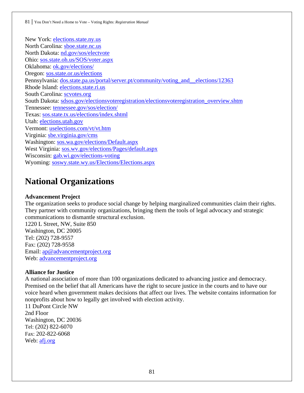New York: [elections.state.ny.us](http://www.elections.state.ny.us/) North Carolina: [sboe.state.nc.us](http://www.sboe.state.nc.us/) North Dakota: [nd.gov/sos/electvote](http://nd.gov/sos/electvote)  Ohio: [sos.state.oh.us/SOS/voter.aspx](http://www.sos.state.oh.us/SOS/voter.aspx) Oklahoma: [ok.gov/elections/](http://www.ok.gov/elections/) Oregon: [sos.state.or.us/elections](http://www.sos.state.or.us/elections) Pennsylvania: [dos.state.pa.us/portal/server.pt/community/voting\\_and\\_\\_elections/12363](http://www.dos.state.pa.us/portal/server.pt/community/voting_and__elections/12363) Rhode Island: [elections.state.ri.us](http://www.elections.state.ri.us/) South Carolina: [scvotes.org](http://www.scvotes.org/) South Dakota: [sdsos.gov/electionsvoteregistration/electionsvoteregistration\\_overview.shtm](http://www.sdsos.gov/electionsvoteregistration/electionsvoteregistration_overview.shtm) Tennessee: [tennessee.gov/sos/election/](http://www.tennessee.gov/sos/election/) Texas: [sos.state.tx.us/elections/index.shtml](http://www.sos.state.tx.us/elections/index.shtml) Utah: [elections.utah.gov](http://elections.utah.gov/) Vermont: [uselections.com/vt/vt.htm](http://www.uselections.com/vt/vt.htm) Virginia: [sbe.virginia.gov/cms](http://www.sbe.virginia.gov/cms) Washington: [sos.wa.gov/elections/Default.aspx](http://www.sos.wa.gov/elections/Default.aspx) West Virginia: [sos.wv.gov/elections/Pages/default.aspx](http://www.sos.wv.gov/elections/Pages/default.aspx) Wisconsin: [gab.wi.gov/elections-voting](http://gab.wi.gov/elections-voting) Wyoming: [soswy.state.wy.us/Elections/Elections.aspx](http://soswy.state.wy.us/Elections/Elections.aspx)

## **National Organizations**

#### **Advancement Project**

The organization seeks to produce social change by helping marginalized communities claim their rights. They partner with community organizations, bringing them the tools of legal advocacy and strategic communications to dismantle structural exclusion.

1220 L Street, NW, Suite 850 Washington, DC 20005 Tel: (202) 728-9557 Fax: (202) 728-9558 Email: [ap@advancementproject.org](mailto:ap@advancementproject.org) Web: [advancementproject.org](http://www.advancementproject.org/)

#### **Alliance for Justice**

A national association of more than 100 organizations dedicated to advancing justice and democracy. Premised on the belief that all Americans have the right to secure justice in the courts and to have our voice heard when government makes decisions that affect our lives. The website contains information for nonprofits about how to legally get involved with election activity.

11 DuPont Circle NW 2nd Floor Washington, DC 20036 Tel: (202) 822-6070 Fax: 202-822-6068 Web: [afj.org](http://afj.org/)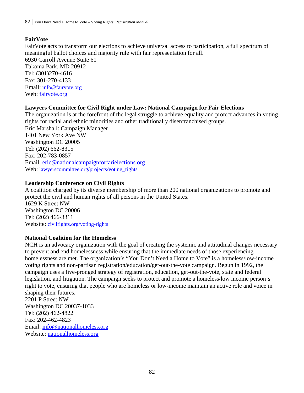### **FairVote**

FairVote acts to transform our elections to achieve universal access to participation, a full spectrum of meaningful ballot choices and majority rule with fair representation for all. 6930 Carroll Avenue Suite 61 Takoma Park, MD 20912 Tel: (301)270-4616 Fax: 301-270-4133 Email: [info@fairvote.org](mailto:info@fairvote.org) Web: [fairvote.org](http://www.fairvote.org/)

### **Lawyers Committee for Civil Right under Law: National Campaign for Fair Elections**

The organization is at the forefront of the legal struggle to achieve equality and protect advances in voting rights for racial and ethnic minorities and other traditionally disenfranchised groups. Eric Marshall: Campaign Manager 1401 New York Ave NW Washington DC 20005 Tel: (202) 662-8315 Fax: 202-783-0857 Email: [eric@nationalcampaignforfarielections.org](mailto:eric@nationalcampaignforfarielections.org) Web: [lawyerscommittee.org/projects/voting\\_rights](http://www.lawyerscommittee.org/projects/voting_rights)

### **Leadership Conference on Civil Rights**

A coalition charged by its diverse membership of more than 200 national organizations to promote and protect the civil and human rights of all persons in the United States. 1629 K Street NW Washington DC 20006 Tel: (202) 466-3311 Website: [civilrights.org/voting-rights](http://www.civilrights.org/voting-rights) 

### **National Coalition for the Homeless**

NCH is an advocacy organization with the goal of creating the systemic and attitudinal changes necessary to prevent and end homelessness while ensuring that the immediate needs of those experiencing homelessness are met. The organization's "You Don't Need a Home to Vote" is a homeless/low-income voting rights and non-partisan registration/education/get-out-the-vote campaign. Begun in 1992, the campaign uses a five-pronged strategy of registration, education, get-out-the-vote, state and federal legislation, and litigation. The campaign seeks to protect and promote a homeless/low income person's right to vote, ensuring that people who are homeless or low-income maintain an active role and voice in shaping their futures.

2201 P Street NW Washington DC 20037-1033 Tel: (202) 462-4822 Fax: 202-462-4823 Email: [info@nationalhomeless.org](mailto:info@nationalhomeless.org) Website: [nationalhomeless.org](http://nationalhomeless.org/)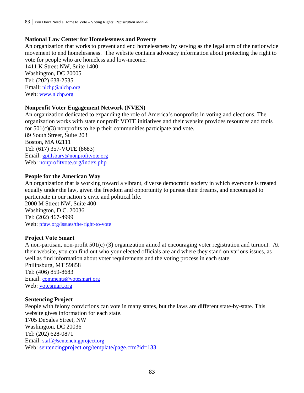### **National Law Center for Homelessness and Poverty**

An organization that works to prevent and end homelessness by serving as the legal arm of the nationwide movement to end homelessness. The website contains advocacy information about protecting the right to vote for people who are homeless and low-income.

1411 K Street NW, Suite 1400 Washington, DC 20005 Tel: (202) 638-2535 Email: [nlchp@nlchp.org](mailto:nlchp@nlchp.org)  Web: www.nlchp.org

#### **Nonprofit Voter Engagement Network (NVEN)**

An organization dedicated to expanding the role of America's nonprofits in voting and elections. The organization works with state nonprofit VOTE initiatives and their website provides resources and tools for 501(c)(3) nonprofits to help their communities participate and vote. 89 South Street, Suite 203 Boston, MA 02111 Tel: (617) 357-VOTE (8683)

Email: [gpillsbury@nonprofitvote.org](mailto:gpillsbury@nonprofitvote.org)  Web: [nonprofitvote.org/index.php](http://www.nonprofitvote.org/index.php)

#### **People for the American Way**

An organization that is working toward a vibrant, diverse democratic society in which everyone is treated equally under the law, given the freedom and opportunity to pursue their dreams, and encouraged to participate in our nation's civic and political life.

2000 M Street NW, Suite 400 Washington, D.C. 20036 Tel: (202) 467-4999 Web: [pfaw.org/issues/the-right-to-vote](http://www.pfaw.org/issues/the-right-to-vote) 

### **Project Vote Smart**

A non-partisan, non-profit 501(c) (3) organization aimed at encouraging voter registration and turnout. At their website, you can find out who your elected officials are and where they stand on various issues, as well as find information about voter requirements and the voting process in each state.

Philipsburg, MT 59858 Tel: (406) 859-8683 Email: [comments@votesmart.org](mailto:comments@votesmart.org) Web: [votesmart.org](http://www.votesmart.org/)

#### **Sentencing Project**

People with felony convictions can vote in many states, but the laws are different state-by-state. This website gives information for each state. 1705 DeSales Street, NW Washington, DC 20036 Tel: (202) 628-0871 Email: [staff@sentencingproject.org](mailto:staff@sentencingproject.org) Web: [sentencingproject.org/template/page.cfm?id=133](http://sentencingproject.org/template/page.cfm?id=133)